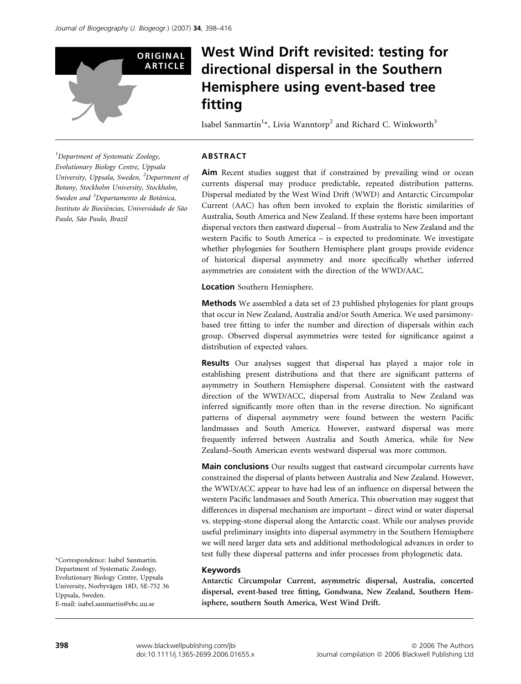

# West Wind Drift revisited: testing for directional dispersal in the Southern Hemisphere using event-based tree fitting

Isabel Sanmartín<sup>1</sup>\*, Livia Wanntorp<sup>2</sup> and Richard C. Winkworth<sup>3</sup>

## ABSTRACT

Aim Recent studies suggest that if constrained by prevailing wind or ocean currents dispersal may produce predictable, repeated distribution patterns. Dispersal mediated by the West Wind Drift (WWD) and Antarctic Circumpolar Current (AAC) has often been invoked to explain the floristic similarities of Australia, South America and New Zealand. If these systems have been important dispersal vectors then eastward dispersal – from Australia to New Zealand and the western Pacific to South America – is expected to predominate. We investigate whether phylogenies for Southern Hemisphere plant groups provide evidence of historical dispersal asymmetry and more specifically whether inferred asymmetries are consistent with the direction of the WWD/AAC.

Location Southern Hemisphere.

Methods We assembled a data set of 23 published phylogenies for plant groups that occur in New Zealand, Australia and/or South America. We used parsimonybased tree fitting to infer the number and direction of dispersals within each group. Observed dispersal asymmetries were tested for significance against a distribution of expected values.

Results Our analyses suggest that dispersal has played a major role in establishing present distributions and that there are significant patterns of asymmetry in Southern Hemisphere dispersal. Consistent with the eastward direction of the WWD/ACC, dispersal from Australia to New Zealand was inferred significantly more often than in the reverse direction. No significant patterns of dispersal asymmetry were found between the western Pacific landmasses and South America. However, eastward dispersal was more frequently inferred between Australia and South America, while for New Zealand–South American events westward dispersal was more common.

**Main conclusions** Our results suggest that eastward circumpolar currents have constrained the dispersal of plants between Australia and New Zealand. However, the WWD/ACC appear to have had less of an influence on dispersal between the western Pacific landmasses and South America. This observation may suggest that differences in dispersal mechanism are important – direct wind or water dispersal vs. stepping-stone dispersal along the Antarctic coast. While our analyses provide useful preliminary insights into dispersal asymmetry in the Southern Hemisphere we will need larger data sets and additional methodological advances in order to test fully these dispersal patterns and infer processes from phylogenetic data.

#### Keywords

Antarctic Circumpolar Current, asymmetric dispersal, Australia, concerted dispersal, event-based tree fitting, Gondwana, New Zealand, Southern Hemisphere, southern South America, West Wind Drift.

<sup>1</sup>Department of Systematic Zoology, Evolutionary Biology Centre, Uppsala University, Uppsala, Sweden, <sup>2</sup>Department of Botany, Stockholm University, Stockholm, Sweden and <sup>3</sup>Departamento de Botânica, Instituto de Biociências, Universidade de São Paulo, São Paulo, Brazil

\*Correspondence: Isabel Sanmartín. Department of Systematic Zoology, Evolutionary Biology Centre, Uppsala University, Norbyvägen 18D, SE-752 36 Uppsala, Sweden. E-mail: isabel.sanmartin@ebc.uu.se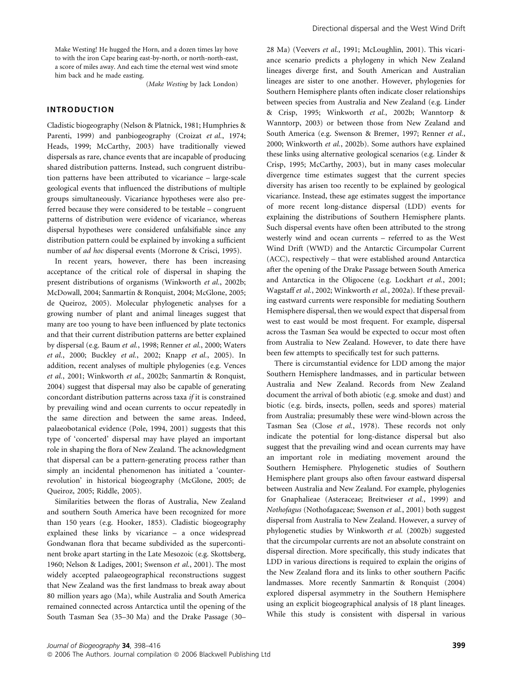Make Westing! He hugged the Horn, and a dozen times lay hove to with the iron Cape bearing east-by-north, or north-north-east, a score of miles away. And each time the eternal west wind smote him back and he made easting.

(Make Westing by Jack London)

## INTRODUCTION

Cladistic biogeography (Nelson & Platnick, 1981; Humphries & Parenti, 1999) and panbiogeography (Croizat et al., 1974; Heads, 1999; McCarthy, 2003) have traditionally viewed dispersals as rare, chance events that are incapable of producing shared distribution patterns. Instead, such congruent distribution patterns have been attributed to vicariance – large-scale geological events that influenced the distributions of multiple groups simultaneously. Vicariance hypotheses were also preferred because they were considered to be testable – congruent patterns of distribution were evidence of vicariance, whereas dispersal hypotheses were considered unfalsifiable since any distribution pattern could be explained by invoking a sufficient number of ad hoc dispersal events (Morrone & Crisci, 1995).

In recent years, however, there has been increasing acceptance of the critical role of dispersal in shaping the present distributions of organisms (Winkworth et al., 2002b; McDowall, 2004; Sanmartín & Ronquist, 2004; McGlone, 2005; de Queiroz, 2005). Molecular phylogenetic analyses for a growing number of plant and animal lineages suggest that many are too young to have been influenced by plate tectonics and that their current distribution patterns are better explained by dispersal (e.g. Baum et al., 1998; Renner et al., 2000; Waters et al., 2000; Buckley et al., 2002; Knapp et al., 2005). In addition, recent analyses of multiple phylogenies (e.g. Vences et al., 2001; Winkworth et al., 2002b; Sanmartín & Ronquist, 2004) suggest that dispersal may also be capable of generating concordant distribution patterns across taxa if it is constrained by prevailing wind and ocean currents to occur repeatedly in the same direction and between the same areas. Indeed, palaeobotanical evidence (Pole, 1994, 2001) suggests that this type of 'concerted' dispersal may have played an important role in shaping the flora of New Zealand. The acknowledgment that dispersal can be a pattern-generating process rather than simply an incidental phenomenon has initiated a 'counterrevolution' in historical biogeography (McGlone, 2005; de Queiroz, 2005; Riddle, 2005).

Similarities between the floras of Australia, New Zealand and southern South America have been recognized for more than 150 years (e.g. Hooker, 1853). Cladistic biogeography explained these links by vicariance – a once widespread Gondwanan flora that became subdivided as the supercontinent broke apart starting in the Late Mesozoic (e.g. Skottsberg, 1960; Nelson & Ladiges, 2001; Swenson et al., 2001). The most widely accepted palaeogeographical reconstructions suggest that New Zealand was the first landmass to break away about 80 million years ago (Ma), while Australia and South America remained connected across Antarctica until the opening of the South Tasman Sea (35–30 Ma) and the Drake Passage (30–

28 Ma) (Veevers et al., 1991; McLoughlin, 2001). This vicariance scenario predicts a phylogeny in which New Zealand lineages diverge first, and South American and Australian lineages are sister to one another. However, phylogenies for Southern Hemisphere plants often indicate closer relationships between species from Australia and New Zealand (e.g. Linder & Crisp, 1995; Winkworth et al., 2002b; Wanntorp & Wanntorp, 2003) or between those from New Zealand and South America (e.g. Swenson & Bremer, 1997; Renner et al., 2000; Winkworth et al., 2002b). Some authors have explained these links using alternative geological scenarios (e.g. Linder & Crisp, 1995; McCarthy, 2003), but in many cases molecular divergence time estimates suggest that the current species diversity has arisen too recently to be explained by geological vicariance. Instead, these age estimates suggest the importance of more recent long-distance dispersal (LDD) events for explaining the distributions of Southern Hemisphere plants. Such dispersal events have often been attributed to the strong westerly wind and ocean currents – referred to as the West Wind Drift (WWD) and the Antarctic Circumpolar Current (ACC), respectively – that were established around Antarctica after the opening of the Drake Passage between South America and Antarctica in the Oligocene (e.g. Lockhart et al., 2001; Wagstaff et al., 2002; Winkworth et al., 2002a). If these prevailing eastward currents were responsible for mediating Southern Hemisphere dispersal, then we would expect that dispersal from west to east would be most frequent. For example, dispersal across the Tasman Sea would be expected to occur most often from Australia to New Zealand. However, to date there have been few attempts to specifically test for such patterns.

There is circumstantial evidence for LDD among the major Southern Hemisphere landmasses, and in particular between Australia and New Zealand. Records from New Zealand document the arrival of both abiotic (e.g. smoke and dust) and biotic (e.g. birds, insects, pollen, seeds and spores) material from Australia; presumably these were wind-blown across the Tasman Sea (Close et al., 1978). These records not only indicate the potential for long-distance dispersal but also suggest that the prevailing wind and ocean currents may have an important role in mediating movement around the Southern Hemisphere. Phylogenetic studies of Southern Hemisphere plant groups also often favour eastward dispersal between Australia and New Zealand. For example, phylogenies for Gnaphalieae (Asteraceae; Breitwieser et al., 1999) and Nothofagus (Nothofagaceae; Swenson et al., 2001) both suggest dispersal from Australia to New Zealand. However, a survey of phylogenetic studies by Winkworth et al. (2002b) suggested that the circumpolar currents are not an absolute constraint on dispersal direction. More specifically, this study indicates that LDD in various directions is required to explain the origins of the New Zealand flora and its links to other southern Pacific landmasses. More recently Sanmartín & Ronquist (2004) explored dispersal asymmetry in the Southern Hemisphere using an explicit biogeographical analysis of 18 plant lineages. While this study is consistent with dispersal in various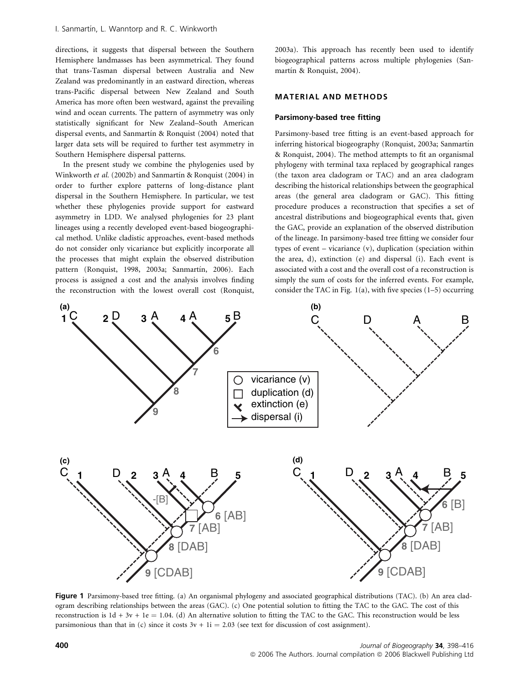directions, it suggests that dispersal between the Southern Hemisphere landmasses has been asymmetrical. They found that trans-Tasman dispersal between Australia and New Zealand was predominantly in an eastward direction, whereas trans-Pacific dispersal between New Zealand and South America has more often been westward, against the prevailing wind and ocean currents. The pattern of asymmetry was only statistically significant for New Zealand–South American dispersal events, and Sanmartín & Ronquist (2004) noted that larger data sets will be required to further test asymmetry in Southern Hemisphere dispersal patterns.

In the present study we combine the phylogenies used by Winkworth et al. (2002b) and Sanmartín & Ronquist (2004) in order to further explore patterns of long-distance plant dispersal in the Southern Hemisphere. In particular, we test whether these phylogenies provide support for eastward asymmetry in LDD. We analysed phylogenies for 23 plant lineages using a recently developed event-based biogeographical method. Unlike cladistic approaches, event-based methods do not consider only vicariance but explicitly incorporate all the processes that might explain the observed distribution pattern (Ronquist, 1998, 2003a; Sanmartín, 2006). Each process is assigned a cost and the analysis involves finding the reconstruction with the lowest overall cost (Ronquist, 2003a). This approach has recently been used to identify biogeographical patterns across multiple phylogenies (Sanmartín & Ronquist, 2004).

## MATERIAL AND METHODS

#### Parsimony-based tree fitting

Parsimony-based tree fitting is an event-based approach for inferring historical biogeography (Ronquist, 2003a; Sanmartín & Ronquist, 2004). The method attempts to fit an organismal phylogeny with terminal taxa replaced by geographical ranges (the taxon area cladogram or TAC) and an area cladogram describing the historical relationships between the geographical areas (the general area cladogram or GAC). This fitting procedure produces a reconstruction that specifies a set of ancestral distributions and biogeographical events that, given the GAC, provide an explanation of the observed distribution of the lineage. In parsimony-based tree fitting we consider four types of event – vicariance (v), duplication (speciation within the area, d), extinction (e) and dispersal (i). Each event is associated with a cost and the overall cost of a reconstruction is simply the sum of costs for the inferred events. For example, consider the TAC in Fig. 1(a), with five species (1–5) occurring



Figure 1 Parsimony-based tree fitting. (a) An organismal phylogeny and associated geographical distributions (TAC). (b) An area cladogram describing relationships between the areas (GAC). (c) One potential solution to fitting the TAC to the GAC. The cost of this reconstruction is  $1d + 3v + 1e = 1.04$ . (d) An alternative solution to fitting the TAC to the GAC. This reconstruction would be less parsimonious than that in (c) since it costs  $3v + 1i = 2.03$  (see text for discussion of cost assignment).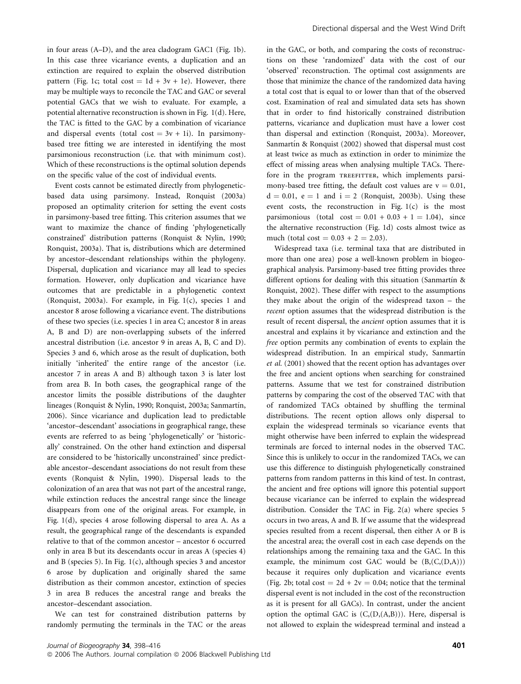in four areas (A–D), and the area cladogram GAC1 (Fig. 1b). In this case three vicariance events, a duplication and an extinction are required to explain the observed distribution pattern (Fig. 1c; total cost =  $1d + 3v + 1e$ ). However, there may be multiple ways to reconcile the TAC and GAC or several potential GACs that we wish to evaluate. For example, a potential alternative reconstruction is shown in Fig. 1(d). Here, the TAC is fitted to the GAC by a combination of vicariance and dispersal events (total cost  $= 3v + 1i$ ). In parsimonybased tree fitting we are interested in identifying the most parsimonious reconstruction (i.e. that with minimum cost). Which of these reconstructions is the optimal solution depends on the specific value of the cost of individual events.

Event costs cannot be estimated directly from phylogeneticbased data using parsimony. Instead, Ronquist (2003a) proposed an optimality criterion for setting the event costs in parsimony-based tree fitting. This criterion assumes that we want to maximize the chance of finding 'phylogenetically constrained' distribution patterns (Ronquist & Nylin, 1990; Ronquist, 2003a). That is, distributions which are determined by ancestor–descendant relationships within the phylogeny. Dispersal, duplication and vicariance may all lead to species formation. However, only duplication and vicariance have outcomes that are predictable in a phylogenetic context (Ronquist, 2003a). For example, in Fig. 1(c), species 1 and ancestor 8 arose following a vicariance event. The distributions of these two species (i.e. species 1 in area C; ancestor 8 in areas A, B and D) are non-overlapping subsets of the inferred ancestral distribution (i.e. ancestor 9 in areas A, B, C and D). Species 3 and 6, which arose as the result of duplication, both initially 'inherited' the entire range of the ancestor (i.e. ancestor 7 in areas A and B) although taxon 3 is later lost from area B. In both cases, the geographical range of the ancestor limits the possible distributions of the daughter lineages (Ronquist & Nylin, 1990; Ronquist, 2003a; Sanmartín, 2006). Since vicariance and duplication lead to predictable 'ancestor–descendant' associations in geographical range, these events are referred to as being 'phylogenetically' or 'historically' constrained. On the other hand extinction and dispersal are considered to be 'historically unconstrained' since predictable ancestor–descendant associations do not result from these events (Ronquist & Nylin, 1990). Dispersal leads to the colonization of an area that was not part of the ancestral range, while extinction reduces the ancestral range since the lineage disappears from one of the original areas. For example, in Fig. 1(d), species 4 arose following dispersal to area A. As a result, the geographical range of the descendants is expanded relative to that of the common ancestor – ancestor 6 occurred only in area B but its descendants occur in areas A (species 4) and B (species 5). In Fig. 1(c), although species 3 and ancestor 6 arose by duplication and originally shared the same distribution as their common ancestor, extinction of species 3 in area B reduces the ancestral range and breaks the ancestor–descendant association.

We can test for constrained distribution patterns by randomly permuting the terminals in the TAC or the areas in the GAC, or both, and comparing the costs of reconstructions on these 'randomized' data with the cost of our 'observed' reconstruction. The optimal cost assignments are those that minimize the chance of the randomized data having a total cost that is equal to or lower than that of the observed cost. Examination of real and simulated data sets has shown that in order to find historically constrained distribution patterns, vicariance and duplication must have a lower cost than dispersal and extinction (Ronquist, 2003a). Moreover, Sanmartín & Ronquist (2002) showed that dispersal must cost at least twice as much as extinction in order to minimize the effect of missing areas when analysing multiple TACs. Therefore in the program TREEFITTER, which implements parsimony-based tree fitting, the default cost values are  $v = 0.01$ ,  $d = 0.01$ ,  $e = 1$  and  $i = 2$  (Ronquist, 2003b). Using these event costs, the reconstruction in Fig. 1(c) is the most parsimonious (total  $\cos t = 0.01 + 0.03 + 1 = 1.04$ ), since the alternative reconstruction (Fig. 1d) costs almost twice as much (total cost =  $0.03 + 2 = 2.03$ ).

Widespread taxa (i.e. terminal taxa that are distributed in more than one area) pose a well-known problem in biogeographical analysis. Parsimony-based tree fitting provides three different options for dealing with this situation (Sanmartín  $\&$ Ronquist, 2002). These differ with respect to the assumptions they make about the origin of the widespread taxon – the recent option assumes that the widespread distribution is the result of recent dispersal, the ancient option assumes that it is ancestral and explains it by vicariance and extinction and the free option permits any combination of events to explain the widespread distribution. In an empirical study, Sanmartín et al. (2001) showed that the recent option has advantages over the free and ancient options when searching for constrained patterns. Assume that we test for constrained distribution patterns by comparing the cost of the observed TAC with that of randomized TACs obtained by shuffling the terminal distributions. The recent option allows only dispersal to explain the widespread terminals so vicariance events that might otherwise have been inferred to explain the widespread terminals are forced to internal nodes in the observed TAC. Since this is unlikely to occur in the randomized TACs, we can use this difference to distinguish phylogenetically constrained patterns from random patterns in this kind of test. In contrast, the ancient and free options will ignore this potential support because vicariance can be inferred to explain the widespread distribution. Consider the TAC in Fig. 2(a) where species 5 occurs in two areas, A and B. If we assume that the widespread species resulted from a recent dispersal, then either A or B is the ancestral area; the overall cost in each case depends on the relationships among the remaining taxa and the GAC. In this example, the minimum cost GAC would be  $(B, (C, (D,A)))$ because it requires only duplication and vicariance events (Fig. 2b; total cost =  $2d + 2v = 0.04$ ; notice that the terminal dispersal event is not included in the cost of the reconstruction as it is present for all GACs). In contrast, under the ancient option the optimal GAC is  $(C, (D, (A, B)))$ . Here, dispersal is not allowed to explain the widespread terminal and instead a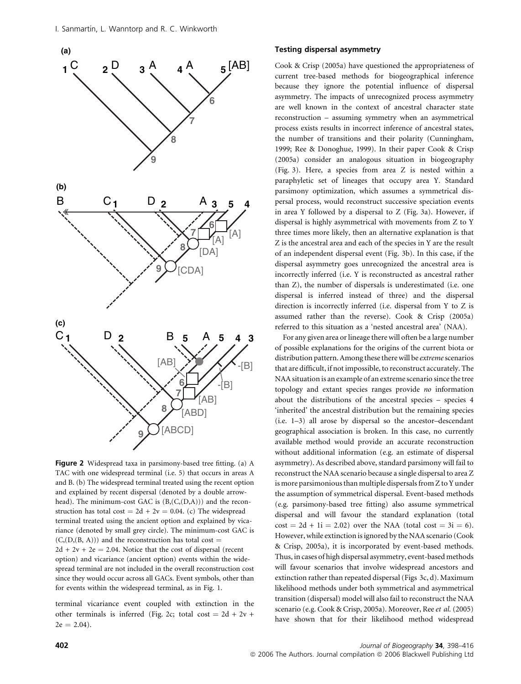

Figure 2 Widespread taxa in parsimony-based tree fitting. (a) A TAC with one widespread terminal (i.e. 5) that occurs in areas A and B. (b) The widespread terminal treated using the recent option and explained by recent dispersal (denoted by a double arrowhead). The minimum-cost GAC is  $(B, (C, (D,A)))$  and the reconstruction has total cost =  $2d + 2v = 0.04$ . (c) The widespread terminal treated using the ancient option and explained by vicariance (denoted by small grey circle). The minimum-cost GAC is  $(C, (D, (B, A)))$  and the reconstruction has total cost =  $2d + 2v + 2e = 2.04$ . Notice that the cost of dispersal (recent option) and vicariance (ancient option) events within the widespread terminal are not included in the overall reconstruction cost since they would occur across all GACs. Event symbols, other than for events within the widespread terminal, as in Fig. 1.

terminal vicariance event coupled with extinction in the other terminals is inferred (Fig. 2c; total cost =  $2d + 2v +$  $2e = 2.04$ .

#### Testing dispersal asymmetry

Cook & Crisp (2005a) have questioned the appropriateness of current tree-based methods for biogeographical inference because they ignore the potential influence of dispersal asymmetry. The impacts of unrecognized process asymmetry are well known in the context of ancestral character state reconstruction – assuming symmetry when an asymmetrical process exists results in incorrect inference of ancestral states, the number of transitions and their polarity (Cunningham, 1999; Ree & Donoghue, 1999). In their paper Cook & Crisp (2005a) consider an analogous situation in biogeography (Fig. 3). Here, a species from area Z is nested within a paraphyletic set of lineages that occupy area Y. Standard parsimony optimization, which assumes a symmetrical dispersal process, would reconstruct successive speciation events in area Y followed by a dispersal to Z (Fig. 3a). However, if dispersal is highly asymmetrical with movements from Z to Y three times more likely, then an alternative explanation is that Z is the ancestral area and each of the species in Y are the result of an independent dispersal event (Fig. 3b). In this case, if the dispersal asymmetry goes unrecognized the ancestral area is incorrectly inferred (i.e. Y is reconstructed as ancestral rather than Z), the number of dispersals is underestimated (i.e. one dispersal is inferred instead of three) and the dispersal direction is incorrectly inferred (i.e. dispersal from Y to Z is assumed rather than the reverse). Cook & Crisp (2005a) referred to this situation as a 'nested ancestral area' (NAA).

For any given area or lineage there will often be a large number of possible explanations for the origins of the current biota or distribution pattern. Among these there will be *extreme* scenarios that are difficult, if not impossible, to reconstruct accurately. The NAA situation is an example of an extreme scenario since the tree topology and extant species ranges provide no information about the distributions of the ancestral species – species 4 'inherited' the ancestral distribution but the remaining species (i.e. 1–3) all arose by dispersal so the ancestor–descendant geographical association is broken. In this case, no currently available method would provide an accurate reconstruction without additional information (e.g. an estimate of dispersal asymmetry). As described above, standard parsimony will fail to reconstruct the NAA scenario because a single dispersal to area Z is more parsimonious than multiple dispersals from Z to Y under the assumption of symmetrical dispersal. Event-based methods (e.g. parsimony-based tree fitting) also assume symmetrical dispersal and will favour the standard explanation (total  $\text{cost} = 2d + 1i = 2.02$ ) over the NAA (total cost = 3i = 6). However, while extinction is ignored by the NAA scenario (Cook & Crisp, 2005a), it is incorporated by event-based methods. Thus, in cases of high dispersal asymmetry, event-based methods will favour scenarios that involve widespread ancestors and extinction rather than repeated dispersal (Figs 3c, d). Maximum likelihood methods under both symmetrical and asymmetrical transition (dispersal) model will also fail to reconstruct the NAA scenario (e.g. Cook & Crisp, 2005a). Moreover, Ree et al. (2005) have shown that for their likelihood method widespread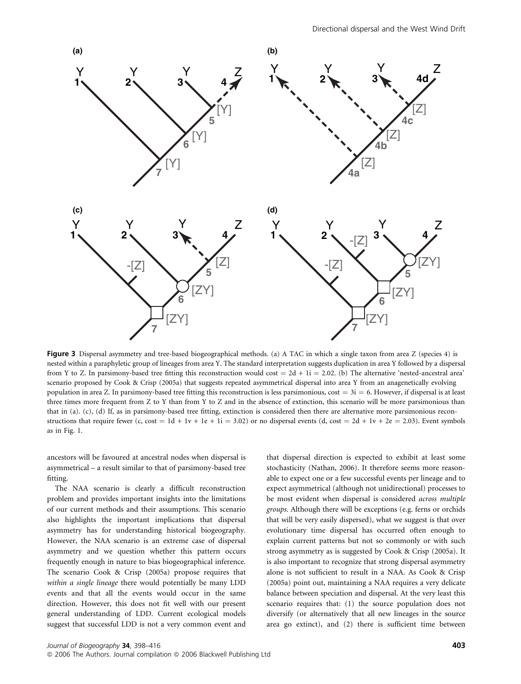

Figure 3 Dispersal asymmetry and tree-based biogeographical methods. (a) A TAC in which a single taxon from area Z (species 4) is nested within a paraphyletic group of lineages from area Y. The standard interpretation suggests duplication in area Y followed by a dispersal from Y to Z. In parsimony-based tree fitting this reconstruction would cost =  $2d + 1i = 2.02$ . (b) The alternative 'nested-ancestral area' scenario proposed by Cook & Crisp (2005a) that suggests repeated asymmetrical dispersal into area Y from an anagenetically evolving population in area Z. In parsimony-based tree fitting this reconstruction is less parsimonious,  $cost = 3i = 6$ . However, if dispersal is at least three times more frequent from Z to Y than from Y to Z and in the absence of extinction, this scenario will be more parsimonious than that in (a). (c), (d) If, as in parsimony-based tree fitting, extinction is considered then there are alternative more parsimonious reconstructions that require fewer (c, cost =  $1d + 1v + 1e + 1i = 3.02$ ) or no dispersal events (d, cost =  $2d + 1v + 2e = 2.03$ ). Event symbols as in Fig. 1.

ancestors will be favoured at ancestral nodes when dispersal is asymmetrical – a result similar to that of parsimony-based tree fitting.

The NAA scenario is clearly a difficult reconstruction problem and provides important insights into the limitations of our current methods and their assumptions. This scenario also highlights the important implications that dispersal asymmetry has for understanding historical biogeography. However, the NAA scenario is an extreme case of dispersal asymmetry and we question whether this pattern occurs frequently enough in nature to bias biogeographical inference. The scenario Cook & Crisp (2005a) propose requires that within a single lineage there would potentially be many LDD events and that all the events would occur in the same direction. However, this does not fit well with our present general understanding of LDD. Current ecological models suggest that successful LDD is not a very common event and

that dispersal direction is expected to exhibit at least some stochasticity (Nathan, 2006). It therefore seems more reasonable to expect one or a few successful events per lineage and to expect asymmetrical (although not unidirectional) processes to be most evident when dispersal is considered across multiple groups. Although there will be exceptions (e.g. ferns or orchids that will be very easily dispersed), what we suggest is that over evolutionary time dispersal has occurred often enough to explain current patterns but not so commonly or with such strong asymmetry as is suggested by Cook & Crisp (2005a). It is also important to recognize that strong dispersal asymmetry alone is not sufficient to result in a NAA. As Cook & Crisp (2005a) point out, maintaining a NAA requires a very delicate balance between speciation and dispersal. At the very least this scenario requires that: (1) the source population does not diversify (or alternatively that all new lineages in the source area go extinct), and (2) there is sufficient time between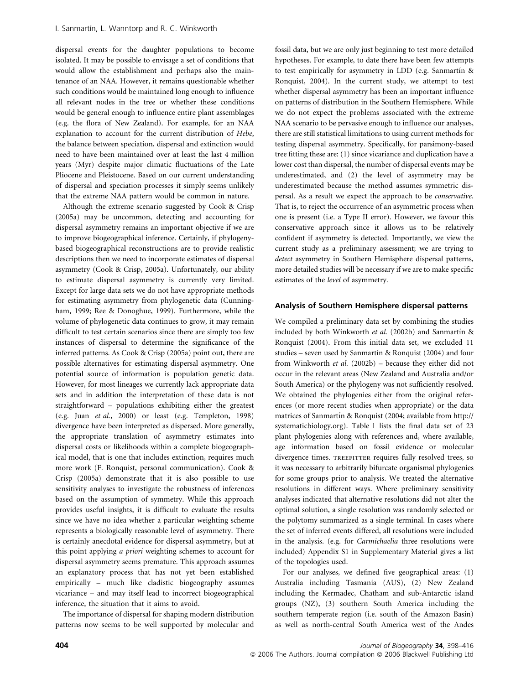dispersal events for the daughter populations to become isolated. It may be possible to envisage a set of conditions that would allow the establishment and perhaps also the maintenance of an NAA. However, it remains questionable whether such conditions would be maintained long enough to influence all relevant nodes in the tree or whether these conditions would be general enough to influence entire plant assemblages (e.g. the flora of New Zealand). For example, for an NAA explanation to account for the current distribution of Hebe, the balance between speciation, dispersal and extinction would need to have been maintained over at least the last 4 million years (Myr) despite major climatic fluctuations of the Late Pliocene and Pleistocene. Based on our current understanding of dispersal and speciation processes it simply seems unlikely that the extreme NAA pattern would be common in nature.

Although the extreme scenario suggested by Cook & Crisp (2005a) may be uncommon, detecting and accounting for dispersal asymmetry remains an important objective if we are to improve biogeographical inference. Certainly, if phylogenybased biogeographical reconstructions are to provide realistic descriptions then we need to incorporate estimates of dispersal asymmetry (Cook & Crisp, 2005a). Unfortunately, our ability to estimate dispersal asymmetry is currently very limited. Except for large data sets we do not have appropriate methods for estimating asymmetry from phylogenetic data (Cunningham, 1999; Ree & Donoghue, 1999). Furthermore, while the volume of phylogenetic data continues to grow, it may remain difficult to test certain scenarios since there are simply too few instances of dispersal to determine the significance of the inferred patterns. As Cook & Crisp (2005a) point out, there are possible alternatives for estimating dispersal asymmetry. One potential source of information is population genetic data. However, for most lineages we currently lack appropriate data sets and in addition the interpretation of these data is not straightforward – populations exhibiting either the greatest (e.g. Juan et al., 2000) or least (e.g. Templeton, 1998) divergence have been interpreted as dispersed. More generally, the appropriate translation of asymmetry estimates into dispersal costs or likelihoods within a complete biogeographical model, that is one that includes extinction, requires much more work (F. Ronquist, personal communication). Cook & Crisp (2005a) demonstrate that it is also possible to use sensitivity analyses to investigate the robustness of inferences based on the assumption of symmetry. While this approach provides useful insights, it is difficult to evaluate the results since we have no idea whether a particular weighting scheme represents a biologically reasonable level of asymmetry. There is certainly anecdotal evidence for dispersal asymmetry, but at this point applying a priori weighting schemes to account for dispersal asymmetry seems premature. This approach assumes an explanatory process that has not yet been established empirically – much like cladistic biogeography assumes vicariance – and may itself lead to incorrect biogeographical inference, the situation that it aims to avoid.

The importance of dispersal for shaping modern distribution patterns now seems to be well supported by molecular and fossil data, but we are only just beginning to test more detailed hypotheses. For example, to date there have been few attempts to test empirically for asymmetry in LDD (e.g. Sanmartín  $\&$ Ronquist, 2004). In the current study, we attempt to test whether dispersal asymmetry has been an important influence on patterns of distribution in the Southern Hemisphere. While we do not expect the problems associated with the extreme NAA scenario to be pervasive enough to influence our analyses, there are still statistical limitations to using current methods for testing dispersal asymmetry. Specifically, for parsimony-based tree fitting these are: (1) since vicariance and duplication have a lower cost than dispersal, the number of dispersal events may be underestimated, and (2) the level of asymmetry may be underestimated because the method assumes symmetric dispersal. As a result we expect the approach to be conservative. That is, to reject the occurrence of an asymmetric process when one is present (i.e. a Type II error). However, we favour this conservative approach since it allows us to be relatively confident if asymmetry is detected. Importantly, we view the current study as a preliminary assessment; we are trying to detect asymmetry in Southern Hemisphere dispersal patterns, more detailed studies will be necessary if we are to make specific estimates of the level of asymmetry.

#### Analysis of Southern Hemisphere dispersal patterns

We compiled a preliminary data set by combining the studies included by both Winkworth et al. (2002b) and Sanmartín & Ronquist (2004). From this initial data set, we excluded 11 studies – seven used by Sanmartín & Ronquist (2004) and four from Winkworth et al. (2002b) – because they either did not occur in the relevant areas (New Zealand and Australia and/or South America) or the phylogeny was not sufficiently resolved. We obtained the phylogenies either from the original references (or more recent studies when appropriate) or the data matrices of Sanmartín & Ronquist (2004; available from http:// systematicbiology.org). Table 1 lists the final data set of 23 plant phylogenies along with references and, where available, age information based on fossil evidence or molecular divergence times. TREEFITTER requires fully resolved trees, so it was necessary to arbitrarily bifurcate organismal phylogenies for some groups prior to analysis. We treated the alternative resolutions in different ways. Where preliminary sensitivity analyses indicated that alternative resolutions did not alter the optimal solution, a single resolution was randomly selected or the polytomy summarized as a single terminal. In cases where the set of inferred events differed, all resolutions were included in the analysis. (e.g. for Carmichaelia three resolutions were included) Appendix S1 in Supplementary Material gives a list of the topologies used.

For our analyses, we defined five geographical areas: (1) Australia including Tasmania (AUS), (2) New Zealand including the Kermadec, Chatham and sub-Antarctic island groups (NZ), (3) southern South America including the southern temperate region (i.e. south of the Amazon Basin) as well as north-central South America west of the Andes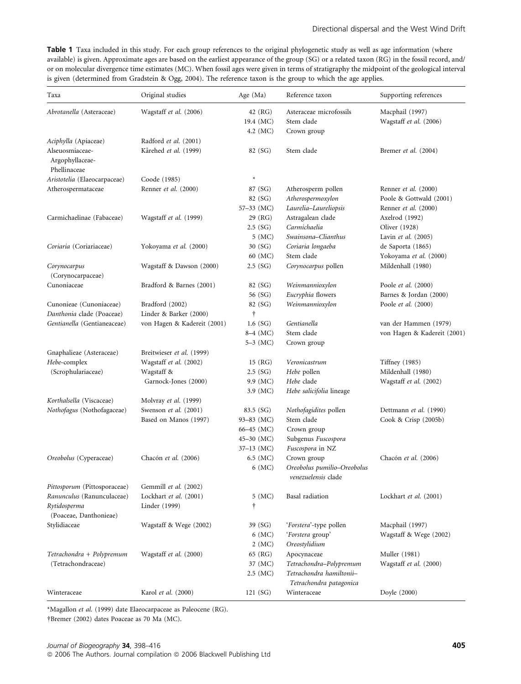Table 1 Taxa included in this study. For each group references to the original phylogenetic study as well as age information (where available) is given. Approximate ages are based on the earliest appearance of the group (SG) or a related taxon (RG) in the fossil record, and/ or on molecular divergence time estimates (MC). When fossil ages were given in terms of stratigraphy the midpoint of the geological interval is given (determined from Gradstein & Ogg, 2004). The reference taxon is the group to which the age applies.

| Taxa                                               | Original studies            | Age (Ma)       | Reference taxon                                     | Supporting references       |  |
|----------------------------------------------------|-----------------------------|----------------|-----------------------------------------------------|-----------------------------|--|
| Abrotanella (Asteraceae)                           | Wagstaff et al. (2006)      | 42 (RG)        | Asteraceae microfossils                             | Macphail (1997)             |  |
|                                                    |                             | 19.4 (MC)      | Stem clade                                          | Wagstaff et al. (2006)      |  |
|                                                    |                             | 4.2 (MC)       | Crown group                                         |                             |  |
| Aciphylla (Apiaceae)                               | Radford et al. (2001)       |                |                                                     |                             |  |
| Alseuosmiaceae-<br>Argophyllaceae-<br>Phellinaceae | Kårehed et al. (1999)       | 82 (SG)        | Stem clade                                          | Bremer et al. (2004)        |  |
| Aristotelia (Elaeocarpaceae)                       | Coode (1985)                | $\ast$         |                                                     |                             |  |
| Atherospermataceae                                 | Renner et al. (2000)        | 87 (SG)        | Atherosperm pollen                                  | Renner et al. (2000)        |  |
|                                                    |                             | 82 (SG)        | Atherospermoxylon                                   | Poole & Gottwald (2001)     |  |
|                                                    |                             | $57-33$ (MC)   | Laurelia-Laureliopsis                               | Renner et al. (2000)        |  |
| Carmichaelinae (Fabaceae)                          | Wagstaff et al. (1999)      | $29$ (RG)      | Astragalean clade                                   | Axelrod (1992)              |  |
|                                                    |                             | $2.5$ (SG)     | Carmichaelia                                        | Oliver (1928)               |  |
|                                                    |                             | $5$ (MC)       | Swainsona-Clianthus                                 | Lavin et al. (2005)         |  |
| Coriaria (Coriariaceae)                            | Yokoyama et al. (2000)      | 30(SG)         | Coriaria longaeba                                   | de Saporta (1865)           |  |
|                                                    |                             | 60 (MC)        | Stem clade                                          | Yokoyama et al. (2000)      |  |
| Corynocarpus<br>(Corynocarpaceae)                  | Wagstaff & Dawson (2000)    | 2.5(SG)        | Corynocarpus pollen                                 | Mildenhall (1980)           |  |
| Cunoniaceae                                        | Bradford & Barnes (2001)    | 82 (SG)        | Weinmannioxylon                                     | Poole et al. (2000)         |  |
|                                                    |                             | 56 (SG)        | Eucryphia flowers                                   | Barnes & Jordan (2000)      |  |
| Cunonieae (Cunoniaceae)                            | Bradford (2002)             | 82 (SG)        | Weinmannioxylon                                     | Poole et al. (2000)         |  |
| Danthonia clade (Poaceae)                          | Linder & Barker (2000)      | t              |                                                     |                             |  |
| Gentianella (Gentianeaceae)                        | von Hagen & Kadereit (2001) | 1.6(SG)        | Gentianella                                         | van der Hammen (1979)       |  |
|                                                    |                             | $8-4$ (MC)     | Stem clade                                          | von Hagen & Kadereit (2001) |  |
|                                                    |                             | $5-3$ (MC)     | Crown group                                         |                             |  |
| Gnaphalieae (Asteraceae)                           | Breitwieser et al. (1999)   |                |                                                     |                             |  |
| Hebe-complex                                       | Wagstaff et al. (2002)      | $15$ (RG)      | Veronicastrum                                       | <b>Tiffney</b> (1985)       |  |
| (Scrophulariaceae)                                 | Wagstaff &                  | 2.5(SG)        | Hebe pollen                                         | Mildenhall (1980)           |  |
|                                                    | Garnock-Jones (2000)        | 9.9 (MC)       | Hebe clade                                          | Wagstaff et al. (2002)      |  |
|                                                    |                             | 3.9 (MC)       | Hebe salicifolia lineage                            |                             |  |
| Korthalsella (Viscaceae)                           | Molvray et al. (1999)       |                |                                                     |                             |  |
| Nothofagus (Nothofagaceae)                         | Swenson et al. (2001)       | 83.5 (SG)      | Nothofagidites pollen                               | Dettmann et al. (1990)      |  |
|                                                    | Based on Manos (1997)       | 93-83 (MC)     | Stem clade                                          | Cook & Crisp (2005b)        |  |
|                                                    |                             | $66-45$ (MC)   | Crown group                                         |                             |  |
|                                                    |                             | $45 - 30$ (MC) | Subgenus Fuscospora                                 |                             |  |
|                                                    |                             | $37-13$ (MC)   | Fuscospora in NZ                                    |                             |  |
| Oreobolus (Cyperaceae)                             | Chacón et al. (2006)        | $6.5$ (MC)     | Crown group                                         | Chacón et al. (2006)        |  |
|                                                    |                             | 6 (MC)         | Oreobolus pumilio-Oreobolus<br>venezuelensis clade  |                             |  |
| Pittosporum (Pittosporaceae)                       | Gemmill et al. (2002)       |                |                                                     |                             |  |
| Ranunculus (Ranunculaceae)                         | Lockhart et al. (2001)      | $5$ (MC)       | Basal radiation                                     | Lockhart et al. (2001)      |  |
| Rytidosperma                                       | Linder (1999)               | Ť              |                                                     |                             |  |
| (Poaceae, Danthonieae)                             |                             |                |                                                     |                             |  |
| Stylidiaceae                                       | Wagstaff & Wege (2002)      | 39 (SG)        | 'Forstera'-type pollen                              | Macphail (1997)             |  |
|                                                    |                             | 6 (MC)         | 'Forstera group'                                    | Wagstaff & Wege (2002)      |  |
|                                                    |                             | 2(MC)          | Oreostylidium                                       |                             |  |
| Tetrachondra + Polypremum                          | Wagstaff et al. (2000)      | 65 (RG)        | Apocynaceae                                         | Muller (1981)               |  |
| (Tetrachondraceae)                                 |                             | 37 (MC)        | Tetrachondra-Polypremum                             | Wagstaff et al. (2000)      |  |
|                                                    |                             | $2.5 \ (MC)$   | Tetrachondra hamiltonii-<br>Tetrachondra patagonica |                             |  |
| Winteraceae                                        | Karol et al. (2000)         | 121(SG)        | Winteraceae                                         | Doyle (2000)                |  |

\*Magallon et al. (1999) date Elaeocarpaceae as Paleocene (RG). -Bremer (2002) dates Poaceae as 70 Ma (MC).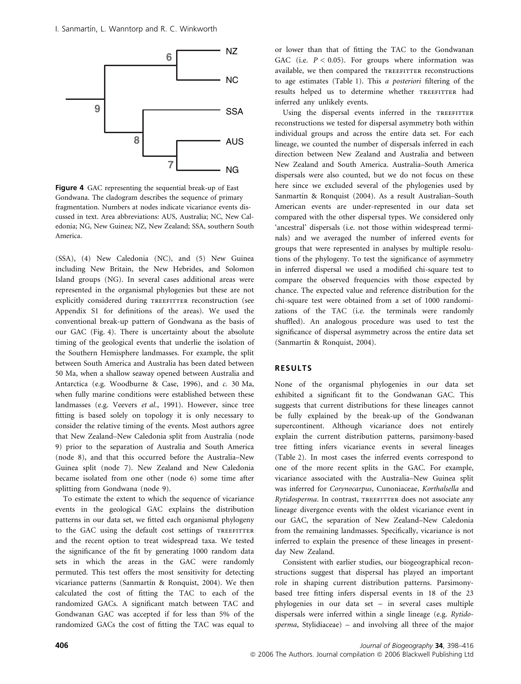

Figure 4 GAC representing the sequential break-up of East Gondwana. The cladogram describes the sequence of primary fragmentation. Numbers at nodes indicate vicariance events discussed in text. Area abbreviations: AUS, Australia; NC, New Caledonia; NG, New Guinea; NZ, New Zealand; SSA, southern South America.

(SSA), (4) New Caledonia (NC), and (5) New Guinea including New Britain, the New Hebrides, and Solomon Island groups (NG). In several cases additional areas were represented in the organismal phylogenies but these are not explicitly considered during TREEFITTER reconstruction (see Appendix S1 for definitions of the areas). We used the conventional break-up pattern of Gondwana as the basis of our GAC (Fig. 4). There is uncertainty about the absolute timing of the geological events that underlie the isolation of the Southern Hemisphere landmasses. For example, the split between South America and Australia has been dated between 50 Ma, when a shallow seaway opened between Australia and Antarctica (e.g. Woodburne & Case, 1996), and c. 30 Ma, when fully marine conditions were established between these landmasses (e.g. Veevers et al., 1991). However, since tree fitting is based solely on topology it is only necessary to consider the relative timing of the events. Most authors agree that New Zealand–New Caledonia split from Australia (node 9) prior to the separation of Australia and South America (node 8), and that this occurred before the Australia–New Guinea split (node 7). New Zealand and New Caledonia became isolated from one other (node 6) some time after splitting from Gondwana (node 9).

To estimate the extent to which the sequence of vicariance events in the geological GAC explains the distribution patterns in our data set, we fitted each organismal phylogeny to the GAC using the default cost settings of TREEFITTER and the recent option to treat widespread taxa. We tested the significance of the fit by generating 1000 random data sets in which the areas in the GAC were randomly permuted. This test offers the most sensitivity for detecting vicariance patterns (Sanmartín & Ronquist, 2004). We then calculated the cost of fitting the TAC to each of the randomized GACs. A significant match between TAC and Gondwanan GAC was accepted if for less than 5% of the randomized GACs the cost of fitting the TAC was equal to or lower than that of fitting the TAC to the Gondwanan GAC (i.e.  $P < 0.05$ ). For groups where information was available, we then compared the TREEFITTER reconstructions to age estimates (Table 1). This a posteriori filtering of the results helped us to determine whether TREEFITTER had inferred any unlikely events.

Using the dispersal events inferred in the TREEFITTER reconstructions we tested for dispersal asymmetry both within individual groups and across the entire data set. For each lineage, we counted the number of dispersals inferred in each direction between New Zealand and Australia and between New Zealand and South America. Australia–South America dispersals were also counted, but we do not focus on these here since we excluded several of the phylogenies used by Sanmartín & Ronquist (2004). As a result Australian–South American events are under-represented in our data set compared with the other dispersal types. We considered only 'ancestral' dispersals (i.e. not those within widespread terminals) and we averaged the number of inferred events for groups that were represented in analyses by multiple resolutions of the phylogeny. To test the significance of asymmetry in inferred dispersal we used a modified chi-square test to compare the observed frequencies with those expected by chance. The expected value and reference distribution for the chi-square test were obtained from a set of 1000 randomizations of the TAC (i.e. the terminals were randomly shuffled). An analogous procedure was used to test the significance of dispersal asymmetry across the entire data set (Sanmartín & Ronquist, 2004).

## RESULTS

None of the organismal phylogenies in our data set exhibited a significant fit to the Gondwanan GAC. This suggests that current distributions for these lineages cannot be fully explained by the break-up of the Gondwanan supercontinent. Although vicariance does not entirely explain the current distribution patterns, parsimony-based tree fitting infers vicariance events in several lineages (Table 2). In most cases the inferred events correspond to one of the more recent splits in the GAC. For example, vicariance associated with the Australia–New Guinea split was inferred for Corynocarpus, Cunoniaceae, Korthalsella and Rytidosperma. In contrast, TREEFITTER does not associate any lineage divergence events with the oldest vicariance event in our GAC, the separation of New Zealand–New Caledonia from the remaining landmasses. Specifically, vicariance is not inferred to explain the presence of these lineages in presentday New Zealand.

Consistent with earlier studies, our biogeographical reconstructions suggest that dispersal has played an important role in shaping current distribution patterns. Parsimonybased tree fitting infers dispersal events in 18 of the 23 phylogenies in our data set – in several cases multiple dispersals were inferred within a single lineage (e.g. Rytidosperma, Stylidiaceae) – and involving all three of the major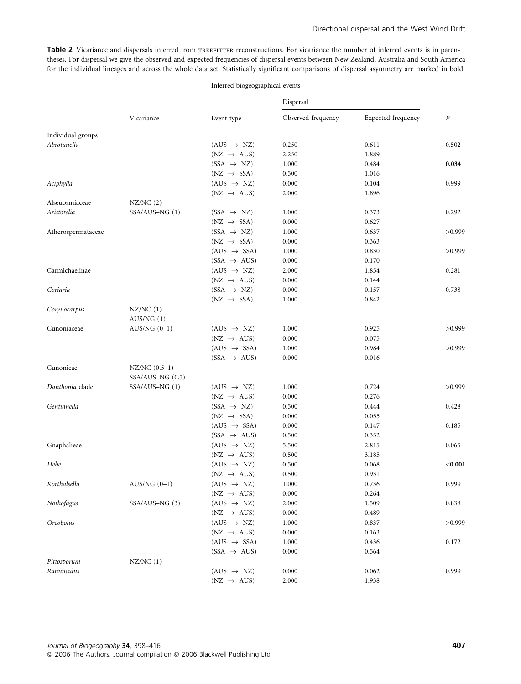Table 2 Vicariance and dispersals inferred from TREEFITTER reconstructions. For vicariance the number of inferred events is in parentheses. For dispersal we give the observed and expected frequencies of dispersal events between New Zealand, Australia and South America for the individual lineages and across the whole data set. Statistically significant comparisons of dispersal asymmetry are marked in bold.

| Dispersal<br>Observed frequency<br>$\cal P$<br>Vicariance<br>Expected frequency<br>Event type<br>Individual groups<br>Abrotanella<br>$(AUS \rightarrow NZ)$<br>0.611<br>0.250<br>0.502<br>1.889<br>$(NZ \rightarrow \text{AUS})$<br>2.250<br>$(SSA \rightarrow NZ)$<br>1.000<br>0.484<br>0.034<br>$(NZ \rightarrow SSA)$<br>0.500<br>1.016<br>$(AUS \rightarrow NZ)$<br>0.999<br>0.000<br>0.104<br>Aciphylla<br>2.000<br>1.896<br>$(NZ \rightarrow AUS)$<br>Alseuosmiaceae<br>NZ/NC(2)<br>Aristotelia<br>SSA/AUS-NG (1)<br>1.000<br>0.292<br>$(SSA \rightarrow NZ)$<br>0.373<br>$(NZ \rightarrow SSA)$<br>0.000<br>0.627<br>$(SSA \rightarrow NZ)$<br>1.000<br>0.637<br>>0.999<br>Atherospermataceae<br>$(NZ \rightarrow SSA)$<br>0.000<br>0.363<br>$(AUS \rightarrow SSA)$<br>1.000<br>0.830<br>>0.999<br>$(SSA \rightarrow AUS)$<br>0.000<br>0.170<br>Carmichaelinae<br>$(AUS \rightarrow NZ)$<br>2.000<br>1.854<br>0.281<br>0.000<br>0.144<br>$(NZ \rightarrow AUS)$<br>Coriaria<br>$(SSA \rightarrow NZ)$<br>0.000<br>0.157<br>0.738<br>$(NZ \rightarrow SSA)$<br>1.000<br>0.842<br>NZ/NC(1)<br>Corynocarpus<br>AUS/NG (1)<br>Cunoniaceae<br>$AUS/NG (0-1)$<br>1.000<br>0.925<br>>0.999<br>$(AUS \rightarrow NZ)$<br>$(NZ \rightarrow \text{AUS})$<br>0.000<br>0.075<br>$(AUS \rightarrow SSA)$<br>1.000<br>0.984<br>>0.999<br>0.016<br>$(SSA \rightarrow \text{AUS})$<br>0.000<br>Cunonieae<br>$NZ/NC(0.5-1)$<br>$SSA/AUS-NG (0.5)$<br>Danthonia clade<br>1.000<br>0.724<br>SSA/AUS-NG (1)<br>$(AUS \rightarrow NZ)$<br>>0.999<br>0.000<br>0.276<br>$(NZ \rightarrow AUS)$<br>Gentianella<br>0.500<br>$(SSA \rightarrow NZ)$<br>0.444<br>0.428<br>$(NZ \rightarrow SSA)$<br>0.000<br>0.055<br>$(AUS \rightarrow SSA)$<br>0.000<br>0.185<br>0.147<br>0.352<br>$(SSA \rightarrow \text{AUS})$<br>0.500<br>Gnaphalieae<br>$(AUS \rightarrow NZ)$<br>5.500<br>2.815<br>0.065<br>0.500<br>3.185<br>$(NZ \rightarrow AUS)$<br>$(AUS \rightarrow NZ)$<br>Hebe<br>0.500<br>0.068<br>< 0.001<br>$(NZ \rightarrow AUS)$<br>0.500<br>0.931<br>0.999<br>$AUS/NG (0-1)$<br>$(AUS \rightarrow NZ)$<br>1.000<br>0.736<br>$(NZ \rightarrow AUS)$<br>0.000<br>0.264<br>$(AUS \rightarrow NZ)$<br>0.838<br>SSA/AUS-NG (3)<br>2.000<br>1.509<br>$(NZ \rightarrow \text{AUS})$<br>0.000<br>0.489<br>Oreobolus<br>$(AUS \rightarrow NZ)$<br>1.000<br>0.837<br>>0.999<br>$(NZ \rightarrow \text{AUS})$<br>0.000<br>0.163<br>$(AUS \rightarrow SSA)$<br>1.000<br>0.436<br>0.172<br>$(SSA \rightarrow \text{AUS})$<br>0.000<br>0.564<br>NZ/NC(1)<br>0.062<br>0.999<br>Ranunculus<br>$(AUS \rightarrow NZ)$<br>0.000<br>$(NZ \rightarrow \text{AUS})$<br>2.000<br>1.938 |              | Inferred biogeographical events |  |  |  |
|-----------------------------------------------------------------------------------------------------------------------------------------------------------------------------------------------------------------------------------------------------------------------------------------------------------------------------------------------------------------------------------------------------------------------------------------------------------------------------------------------------------------------------------------------------------------------------------------------------------------------------------------------------------------------------------------------------------------------------------------------------------------------------------------------------------------------------------------------------------------------------------------------------------------------------------------------------------------------------------------------------------------------------------------------------------------------------------------------------------------------------------------------------------------------------------------------------------------------------------------------------------------------------------------------------------------------------------------------------------------------------------------------------------------------------------------------------------------------------------------------------------------------------------------------------------------------------------------------------------------------------------------------------------------------------------------------------------------------------------------------------------------------------------------------------------------------------------------------------------------------------------------------------------------------------------------------------------------------------------------------------------------------------------------------------------------------------------------------------------------------------------------------------------------------------------------------------------------------------------------------------------------------------------------------------------------------------------------------------------------------------------------------------------------------------------------------------------------------------------------------------------------------------------------------------------------------------------------------------------------------------------------------------|--------------|---------------------------------|--|--|--|
|                                                                                                                                                                                                                                                                                                                                                                                                                                                                                                                                                                                                                                                                                                                                                                                                                                                                                                                                                                                                                                                                                                                                                                                                                                                                                                                                                                                                                                                                                                                                                                                                                                                                                                                                                                                                                                                                                                                                                                                                                                                                                                                                                                                                                                                                                                                                                                                                                                                                                                                                                                                                                                                     |              |                                 |  |  |  |
|                                                                                                                                                                                                                                                                                                                                                                                                                                                                                                                                                                                                                                                                                                                                                                                                                                                                                                                                                                                                                                                                                                                                                                                                                                                                                                                                                                                                                                                                                                                                                                                                                                                                                                                                                                                                                                                                                                                                                                                                                                                                                                                                                                                                                                                                                                                                                                                                                                                                                                                                                                                                                                                     |              |                                 |  |  |  |
|                                                                                                                                                                                                                                                                                                                                                                                                                                                                                                                                                                                                                                                                                                                                                                                                                                                                                                                                                                                                                                                                                                                                                                                                                                                                                                                                                                                                                                                                                                                                                                                                                                                                                                                                                                                                                                                                                                                                                                                                                                                                                                                                                                                                                                                                                                                                                                                                                                                                                                                                                                                                                                                     |              |                                 |  |  |  |
|                                                                                                                                                                                                                                                                                                                                                                                                                                                                                                                                                                                                                                                                                                                                                                                                                                                                                                                                                                                                                                                                                                                                                                                                                                                                                                                                                                                                                                                                                                                                                                                                                                                                                                                                                                                                                                                                                                                                                                                                                                                                                                                                                                                                                                                                                                                                                                                                                                                                                                                                                                                                                                                     |              |                                 |  |  |  |
|                                                                                                                                                                                                                                                                                                                                                                                                                                                                                                                                                                                                                                                                                                                                                                                                                                                                                                                                                                                                                                                                                                                                                                                                                                                                                                                                                                                                                                                                                                                                                                                                                                                                                                                                                                                                                                                                                                                                                                                                                                                                                                                                                                                                                                                                                                                                                                                                                                                                                                                                                                                                                                                     |              |                                 |  |  |  |
|                                                                                                                                                                                                                                                                                                                                                                                                                                                                                                                                                                                                                                                                                                                                                                                                                                                                                                                                                                                                                                                                                                                                                                                                                                                                                                                                                                                                                                                                                                                                                                                                                                                                                                                                                                                                                                                                                                                                                                                                                                                                                                                                                                                                                                                                                                                                                                                                                                                                                                                                                                                                                                                     |              |                                 |  |  |  |
|                                                                                                                                                                                                                                                                                                                                                                                                                                                                                                                                                                                                                                                                                                                                                                                                                                                                                                                                                                                                                                                                                                                                                                                                                                                                                                                                                                                                                                                                                                                                                                                                                                                                                                                                                                                                                                                                                                                                                                                                                                                                                                                                                                                                                                                                                                                                                                                                                                                                                                                                                                                                                                                     |              |                                 |  |  |  |
|                                                                                                                                                                                                                                                                                                                                                                                                                                                                                                                                                                                                                                                                                                                                                                                                                                                                                                                                                                                                                                                                                                                                                                                                                                                                                                                                                                                                                                                                                                                                                                                                                                                                                                                                                                                                                                                                                                                                                                                                                                                                                                                                                                                                                                                                                                                                                                                                                                                                                                                                                                                                                                                     |              |                                 |  |  |  |
|                                                                                                                                                                                                                                                                                                                                                                                                                                                                                                                                                                                                                                                                                                                                                                                                                                                                                                                                                                                                                                                                                                                                                                                                                                                                                                                                                                                                                                                                                                                                                                                                                                                                                                                                                                                                                                                                                                                                                                                                                                                                                                                                                                                                                                                                                                                                                                                                                                                                                                                                                                                                                                                     |              |                                 |  |  |  |
|                                                                                                                                                                                                                                                                                                                                                                                                                                                                                                                                                                                                                                                                                                                                                                                                                                                                                                                                                                                                                                                                                                                                                                                                                                                                                                                                                                                                                                                                                                                                                                                                                                                                                                                                                                                                                                                                                                                                                                                                                                                                                                                                                                                                                                                                                                                                                                                                                                                                                                                                                                                                                                                     |              |                                 |  |  |  |
|                                                                                                                                                                                                                                                                                                                                                                                                                                                                                                                                                                                                                                                                                                                                                                                                                                                                                                                                                                                                                                                                                                                                                                                                                                                                                                                                                                                                                                                                                                                                                                                                                                                                                                                                                                                                                                                                                                                                                                                                                                                                                                                                                                                                                                                                                                                                                                                                                                                                                                                                                                                                                                                     |              |                                 |  |  |  |
|                                                                                                                                                                                                                                                                                                                                                                                                                                                                                                                                                                                                                                                                                                                                                                                                                                                                                                                                                                                                                                                                                                                                                                                                                                                                                                                                                                                                                                                                                                                                                                                                                                                                                                                                                                                                                                                                                                                                                                                                                                                                                                                                                                                                                                                                                                                                                                                                                                                                                                                                                                                                                                                     |              |                                 |  |  |  |
|                                                                                                                                                                                                                                                                                                                                                                                                                                                                                                                                                                                                                                                                                                                                                                                                                                                                                                                                                                                                                                                                                                                                                                                                                                                                                                                                                                                                                                                                                                                                                                                                                                                                                                                                                                                                                                                                                                                                                                                                                                                                                                                                                                                                                                                                                                                                                                                                                                                                                                                                                                                                                                                     |              |                                 |  |  |  |
|                                                                                                                                                                                                                                                                                                                                                                                                                                                                                                                                                                                                                                                                                                                                                                                                                                                                                                                                                                                                                                                                                                                                                                                                                                                                                                                                                                                                                                                                                                                                                                                                                                                                                                                                                                                                                                                                                                                                                                                                                                                                                                                                                                                                                                                                                                                                                                                                                                                                                                                                                                                                                                                     |              |                                 |  |  |  |
|                                                                                                                                                                                                                                                                                                                                                                                                                                                                                                                                                                                                                                                                                                                                                                                                                                                                                                                                                                                                                                                                                                                                                                                                                                                                                                                                                                                                                                                                                                                                                                                                                                                                                                                                                                                                                                                                                                                                                                                                                                                                                                                                                                                                                                                                                                                                                                                                                                                                                                                                                                                                                                                     |              |                                 |  |  |  |
|                                                                                                                                                                                                                                                                                                                                                                                                                                                                                                                                                                                                                                                                                                                                                                                                                                                                                                                                                                                                                                                                                                                                                                                                                                                                                                                                                                                                                                                                                                                                                                                                                                                                                                                                                                                                                                                                                                                                                                                                                                                                                                                                                                                                                                                                                                                                                                                                                                                                                                                                                                                                                                                     |              |                                 |  |  |  |
|                                                                                                                                                                                                                                                                                                                                                                                                                                                                                                                                                                                                                                                                                                                                                                                                                                                                                                                                                                                                                                                                                                                                                                                                                                                                                                                                                                                                                                                                                                                                                                                                                                                                                                                                                                                                                                                                                                                                                                                                                                                                                                                                                                                                                                                                                                                                                                                                                                                                                                                                                                                                                                                     |              |                                 |  |  |  |
|                                                                                                                                                                                                                                                                                                                                                                                                                                                                                                                                                                                                                                                                                                                                                                                                                                                                                                                                                                                                                                                                                                                                                                                                                                                                                                                                                                                                                                                                                                                                                                                                                                                                                                                                                                                                                                                                                                                                                                                                                                                                                                                                                                                                                                                                                                                                                                                                                                                                                                                                                                                                                                                     |              |                                 |  |  |  |
|                                                                                                                                                                                                                                                                                                                                                                                                                                                                                                                                                                                                                                                                                                                                                                                                                                                                                                                                                                                                                                                                                                                                                                                                                                                                                                                                                                                                                                                                                                                                                                                                                                                                                                                                                                                                                                                                                                                                                                                                                                                                                                                                                                                                                                                                                                                                                                                                                                                                                                                                                                                                                                                     |              |                                 |  |  |  |
|                                                                                                                                                                                                                                                                                                                                                                                                                                                                                                                                                                                                                                                                                                                                                                                                                                                                                                                                                                                                                                                                                                                                                                                                                                                                                                                                                                                                                                                                                                                                                                                                                                                                                                                                                                                                                                                                                                                                                                                                                                                                                                                                                                                                                                                                                                                                                                                                                                                                                                                                                                                                                                                     |              |                                 |  |  |  |
|                                                                                                                                                                                                                                                                                                                                                                                                                                                                                                                                                                                                                                                                                                                                                                                                                                                                                                                                                                                                                                                                                                                                                                                                                                                                                                                                                                                                                                                                                                                                                                                                                                                                                                                                                                                                                                                                                                                                                                                                                                                                                                                                                                                                                                                                                                                                                                                                                                                                                                                                                                                                                                                     |              |                                 |  |  |  |
|                                                                                                                                                                                                                                                                                                                                                                                                                                                                                                                                                                                                                                                                                                                                                                                                                                                                                                                                                                                                                                                                                                                                                                                                                                                                                                                                                                                                                                                                                                                                                                                                                                                                                                                                                                                                                                                                                                                                                                                                                                                                                                                                                                                                                                                                                                                                                                                                                                                                                                                                                                                                                                                     |              |                                 |  |  |  |
|                                                                                                                                                                                                                                                                                                                                                                                                                                                                                                                                                                                                                                                                                                                                                                                                                                                                                                                                                                                                                                                                                                                                                                                                                                                                                                                                                                                                                                                                                                                                                                                                                                                                                                                                                                                                                                                                                                                                                                                                                                                                                                                                                                                                                                                                                                                                                                                                                                                                                                                                                                                                                                                     |              |                                 |  |  |  |
|                                                                                                                                                                                                                                                                                                                                                                                                                                                                                                                                                                                                                                                                                                                                                                                                                                                                                                                                                                                                                                                                                                                                                                                                                                                                                                                                                                                                                                                                                                                                                                                                                                                                                                                                                                                                                                                                                                                                                                                                                                                                                                                                                                                                                                                                                                                                                                                                                                                                                                                                                                                                                                                     |              |                                 |  |  |  |
|                                                                                                                                                                                                                                                                                                                                                                                                                                                                                                                                                                                                                                                                                                                                                                                                                                                                                                                                                                                                                                                                                                                                                                                                                                                                                                                                                                                                                                                                                                                                                                                                                                                                                                                                                                                                                                                                                                                                                                                                                                                                                                                                                                                                                                                                                                                                                                                                                                                                                                                                                                                                                                                     |              |                                 |  |  |  |
|                                                                                                                                                                                                                                                                                                                                                                                                                                                                                                                                                                                                                                                                                                                                                                                                                                                                                                                                                                                                                                                                                                                                                                                                                                                                                                                                                                                                                                                                                                                                                                                                                                                                                                                                                                                                                                                                                                                                                                                                                                                                                                                                                                                                                                                                                                                                                                                                                                                                                                                                                                                                                                                     |              |                                 |  |  |  |
|                                                                                                                                                                                                                                                                                                                                                                                                                                                                                                                                                                                                                                                                                                                                                                                                                                                                                                                                                                                                                                                                                                                                                                                                                                                                                                                                                                                                                                                                                                                                                                                                                                                                                                                                                                                                                                                                                                                                                                                                                                                                                                                                                                                                                                                                                                                                                                                                                                                                                                                                                                                                                                                     |              |                                 |  |  |  |
|                                                                                                                                                                                                                                                                                                                                                                                                                                                                                                                                                                                                                                                                                                                                                                                                                                                                                                                                                                                                                                                                                                                                                                                                                                                                                                                                                                                                                                                                                                                                                                                                                                                                                                                                                                                                                                                                                                                                                                                                                                                                                                                                                                                                                                                                                                                                                                                                                                                                                                                                                                                                                                                     |              |                                 |  |  |  |
|                                                                                                                                                                                                                                                                                                                                                                                                                                                                                                                                                                                                                                                                                                                                                                                                                                                                                                                                                                                                                                                                                                                                                                                                                                                                                                                                                                                                                                                                                                                                                                                                                                                                                                                                                                                                                                                                                                                                                                                                                                                                                                                                                                                                                                                                                                                                                                                                                                                                                                                                                                                                                                                     |              |                                 |  |  |  |
|                                                                                                                                                                                                                                                                                                                                                                                                                                                                                                                                                                                                                                                                                                                                                                                                                                                                                                                                                                                                                                                                                                                                                                                                                                                                                                                                                                                                                                                                                                                                                                                                                                                                                                                                                                                                                                                                                                                                                                                                                                                                                                                                                                                                                                                                                                                                                                                                                                                                                                                                                                                                                                                     |              |                                 |  |  |  |
|                                                                                                                                                                                                                                                                                                                                                                                                                                                                                                                                                                                                                                                                                                                                                                                                                                                                                                                                                                                                                                                                                                                                                                                                                                                                                                                                                                                                                                                                                                                                                                                                                                                                                                                                                                                                                                                                                                                                                                                                                                                                                                                                                                                                                                                                                                                                                                                                                                                                                                                                                                                                                                                     |              |                                 |  |  |  |
|                                                                                                                                                                                                                                                                                                                                                                                                                                                                                                                                                                                                                                                                                                                                                                                                                                                                                                                                                                                                                                                                                                                                                                                                                                                                                                                                                                                                                                                                                                                                                                                                                                                                                                                                                                                                                                                                                                                                                                                                                                                                                                                                                                                                                                                                                                                                                                                                                                                                                                                                                                                                                                                     |              |                                 |  |  |  |
|                                                                                                                                                                                                                                                                                                                                                                                                                                                                                                                                                                                                                                                                                                                                                                                                                                                                                                                                                                                                                                                                                                                                                                                                                                                                                                                                                                                                                                                                                                                                                                                                                                                                                                                                                                                                                                                                                                                                                                                                                                                                                                                                                                                                                                                                                                                                                                                                                                                                                                                                                                                                                                                     |              |                                 |  |  |  |
|                                                                                                                                                                                                                                                                                                                                                                                                                                                                                                                                                                                                                                                                                                                                                                                                                                                                                                                                                                                                                                                                                                                                                                                                                                                                                                                                                                                                                                                                                                                                                                                                                                                                                                                                                                                                                                                                                                                                                                                                                                                                                                                                                                                                                                                                                                                                                                                                                                                                                                                                                                                                                                                     |              |                                 |  |  |  |
|                                                                                                                                                                                                                                                                                                                                                                                                                                                                                                                                                                                                                                                                                                                                                                                                                                                                                                                                                                                                                                                                                                                                                                                                                                                                                                                                                                                                                                                                                                                                                                                                                                                                                                                                                                                                                                                                                                                                                                                                                                                                                                                                                                                                                                                                                                                                                                                                                                                                                                                                                                                                                                                     |              |                                 |  |  |  |
|                                                                                                                                                                                                                                                                                                                                                                                                                                                                                                                                                                                                                                                                                                                                                                                                                                                                                                                                                                                                                                                                                                                                                                                                                                                                                                                                                                                                                                                                                                                                                                                                                                                                                                                                                                                                                                                                                                                                                                                                                                                                                                                                                                                                                                                                                                                                                                                                                                                                                                                                                                                                                                                     |              |                                 |  |  |  |
|                                                                                                                                                                                                                                                                                                                                                                                                                                                                                                                                                                                                                                                                                                                                                                                                                                                                                                                                                                                                                                                                                                                                                                                                                                                                                                                                                                                                                                                                                                                                                                                                                                                                                                                                                                                                                                                                                                                                                                                                                                                                                                                                                                                                                                                                                                                                                                                                                                                                                                                                                                                                                                                     |              |                                 |  |  |  |
|                                                                                                                                                                                                                                                                                                                                                                                                                                                                                                                                                                                                                                                                                                                                                                                                                                                                                                                                                                                                                                                                                                                                                                                                                                                                                                                                                                                                                                                                                                                                                                                                                                                                                                                                                                                                                                                                                                                                                                                                                                                                                                                                                                                                                                                                                                                                                                                                                                                                                                                                                                                                                                                     | Korthalsella |                                 |  |  |  |
|                                                                                                                                                                                                                                                                                                                                                                                                                                                                                                                                                                                                                                                                                                                                                                                                                                                                                                                                                                                                                                                                                                                                                                                                                                                                                                                                                                                                                                                                                                                                                                                                                                                                                                                                                                                                                                                                                                                                                                                                                                                                                                                                                                                                                                                                                                                                                                                                                                                                                                                                                                                                                                                     |              |                                 |  |  |  |
|                                                                                                                                                                                                                                                                                                                                                                                                                                                                                                                                                                                                                                                                                                                                                                                                                                                                                                                                                                                                                                                                                                                                                                                                                                                                                                                                                                                                                                                                                                                                                                                                                                                                                                                                                                                                                                                                                                                                                                                                                                                                                                                                                                                                                                                                                                                                                                                                                                                                                                                                                                                                                                                     | Nothofagus   |                                 |  |  |  |
|                                                                                                                                                                                                                                                                                                                                                                                                                                                                                                                                                                                                                                                                                                                                                                                                                                                                                                                                                                                                                                                                                                                                                                                                                                                                                                                                                                                                                                                                                                                                                                                                                                                                                                                                                                                                                                                                                                                                                                                                                                                                                                                                                                                                                                                                                                                                                                                                                                                                                                                                                                                                                                                     |              |                                 |  |  |  |
|                                                                                                                                                                                                                                                                                                                                                                                                                                                                                                                                                                                                                                                                                                                                                                                                                                                                                                                                                                                                                                                                                                                                                                                                                                                                                                                                                                                                                                                                                                                                                                                                                                                                                                                                                                                                                                                                                                                                                                                                                                                                                                                                                                                                                                                                                                                                                                                                                                                                                                                                                                                                                                                     |              |                                 |  |  |  |
|                                                                                                                                                                                                                                                                                                                                                                                                                                                                                                                                                                                                                                                                                                                                                                                                                                                                                                                                                                                                                                                                                                                                                                                                                                                                                                                                                                                                                                                                                                                                                                                                                                                                                                                                                                                                                                                                                                                                                                                                                                                                                                                                                                                                                                                                                                                                                                                                                                                                                                                                                                                                                                                     |              |                                 |  |  |  |
|                                                                                                                                                                                                                                                                                                                                                                                                                                                                                                                                                                                                                                                                                                                                                                                                                                                                                                                                                                                                                                                                                                                                                                                                                                                                                                                                                                                                                                                                                                                                                                                                                                                                                                                                                                                                                                                                                                                                                                                                                                                                                                                                                                                                                                                                                                                                                                                                                                                                                                                                                                                                                                                     |              |                                 |  |  |  |
|                                                                                                                                                                                                                                                                                                                                                                                                                                                                                                                                                                                                                                                                                                                                                                                                                                                                                                                                                                                                                                                                                                                                                                                                                                                                                                                                                                                                                                                                                                                                                                                                                                                                                                                                                                                                                                                                                                                                                                                                                                                                                                                                                                                                                                                                                                                                                                                                                                                                                                                                                                                                                                                     |              |                                 |  |  |  |
|                                                                                                                                                                                                                                                                                                                                                                                                                                                                                                                                                                                                                                                                                                                                                                                                                                                                                                                                                                                                                                                                                                                                                                                                                                                                                                                                                                                                                                                                                                                                                                                                                                                                                                                                                                                                                                                                                                                                                                                                                                                                                                                                                                                                                                                                                                                                                                                                                                                                                                                                                                                                                                                     | Pittosporum  |                                 |  |  |  |
|                                                                                                                                                                                                                                                                                                                                                                                                                                                                                                                                                                                                                                                                                                                                                                                                                                                                                                                                                                                                                                                                                                                                                                                                                                                                                                                                                                                                                                                                                                                                                                                                                                                                                                                                                                                                                                                                                                                                                                                                                                                                                                                                                                                                                                                                                                                                                                                                                                                                                                                                                                                                                                                     |              |                                 |  |  |  |
|                                                                                                                                                                                                                                                                                                                                                                                                                                                                                                                                                                                                                                                                                                                                                                                                                                                                                                                                                                                                                                                                                                                                                                                                                                                                                                                                                                                                                                                                                                                                                                                                                                                                                                                                                                                                                                                                                                                                                                                                                                                                                                                                                                                                                                                                                                                                                                                                                                                                                                                                                                                                                                                     |              |                                 |  |  |  |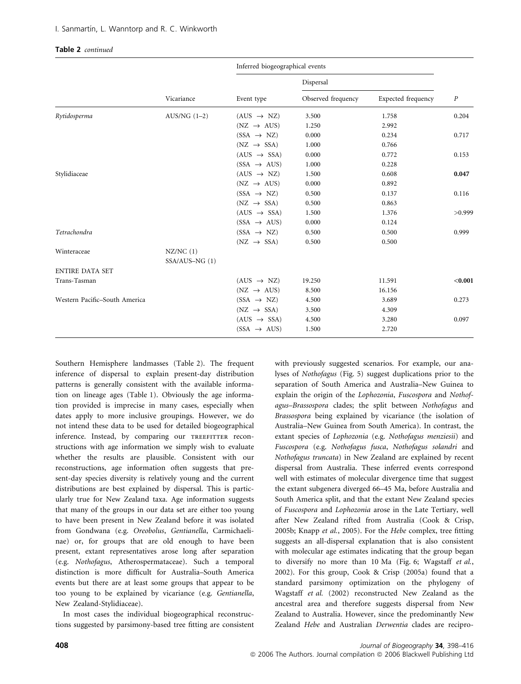#### Table 2 *continued*

|                               | Vicariance     | Inferred biogeographical events |                    |                    |                  |
|-------------------------------|----------------|---------------------------------|--------------------|--------------------|------------------|
|                               |                | Event type                      | Dispersal          |                    |                  |
|                               |                |                                 | Observed frequency | Expected frequency | $\boldsymbol{P}$ |
| Rytidosperma                  | AUS/NG $(1-2)$ | $(AUS \rightarrow NZ)$          | 3.500              | 1.758              | 0.204            |
|                               |                | $(NZ \rightarrow \text{AUS})$   | 1.250              | 2.992              |                  |
|                               |                | $(SSA \rightarrow NZ)$          | 0.000              | 0.234              | 0.717            |
|                               |                | $(NZ \rightarrow SSA)$          | 1.000              | 0.766              |                  |
|                               |                | $(AUS \rightarrow SSA)$         | 0.000              | 0.772              | 0.153            |
|                               |                | $(SSA \rightarrow AUS)$         | 1.000              | 0.228              |                  |
| Stylidiaceae                  |                | $(AUS \rightarrow NZ)$          | 1.500              | 0.608              | 0.047            |
|                               |                | $(NZ \rightarrow \text{AUS})$   | 0.000              | 0.892              |                  |
|                               |                | $(SSA \rightarrow NZ)$          | 0.500              | 0.137              | 0.116            |
|                               |                | $(NZ \rightarrow SSA)$          | 0.500              | 0.863              |                  |
|                               |                | $(AUS \rightarrow SSA)$         | 1.500              | 1.376              | >0.999           |
|                               |                | $(SSA \rightarrow AUS)$         | 0.000              | 0.124              |                  |
| Tetrachondra                  |                | $(SSA \rightarrow NZ)$          | 0.500              | 0.500              | 0.999            |
|                               |                | $(NZ \rightarrow SSA)$          | 0.500              | 0.500              |                  |
| Winteraceae                   | NZ/NC(1)       |                                 |                    |                    |                  |
|                               | SSA/AUS-NG (1) |                                 |                    |                    |                  |
| <b>ENTIRE DATA SET</b>        |                |                                 |                    |                    |                  |
| Trans-Tasman                  |                | $(AUS \rightarrow NZ)$          | 19.250             | 11.591             | < 0.001          |
|                               |                | $(NZ \rightarrow AUS)$          | 8.500              | 16.156             |                  |
| Western Pacific-South America |                | $(SSA \rightarrow NZ)$          | 4.500              | 3.689              | 0.273            |
|                               |                | $(NZ \rightarrow SSA)$          | 3.500              | 4.309              |                  |
|                               |                | $(AUS \rightarrow SSA)$         | 4.500              | 3.280              | 0.097            |
|                               |                | $(SSA \rightarrow \text{AUS})$  | 1.500              | 2.720              |                  |

Southern Hemisphere landmasses (Table 2). The frequent inference of dispersal to explain present-day distribution patterns is generally consistent with the available information on lineage ages (Table 1). Obviously the age information provided is imprecise in many cases, especially when dates apply to more inclusive groupings. However, we do not intend these data to be used for detailed biogeographical inference. Instead, by comparing our TREEFITTER reconstructions with age information we simply wish to evaluate whether the results are plausible. Consistent with our reconstructions, age information often suggests that present-day species diversity is relatively young and the current distributions are best explained by dispersal. This is particularly true for New Zealand taxa. Age information suggests that many of the groups in our data set are either too young to have been present in New Zealand before it was isolated from Gondwana (e.g. Oreobolus, Gentianella, Carmichaelinae) or, for groups that are old enough to have been present, extant representatives arose long after separation (e.g. Nothofagus, Atherospermataceae). Such a temporal distinction is more difficult for Australia–South America events but there are at least some groups that appear to be too young to be explained by vicariance (e.g. Gentianella, New Zealand-Stylidiaceae).

In most cases the individual biogeographical reconstructions suggested by parsimony-based tree fitting are consistent with previously suggested scenarios. For example, our analyses of Nothofagus (Fig. 5) suggest duplications prior to the separation of South America and Australia–New Guinea to explain the origin of the Lophozonia, Fuscospora and Nothofagus–Brassospora clades; the split between Nothofagus and Brassospora being explained by vicariance (the isolation of Australia–New Guinea from South America). In contrast, the extant species of Lophozonia (e.g. Nothofagus menziesii) and Fuscospora (e.g. Nothofagus fusca, Nothofagus solandri and Nothofagus truncata) in New Zealand are explained by recent dispersal from Australia. These inferred events correspond well with estimates of molecular divergence time that suggest the extant subgenera diverged 66–45 Ma, before Australia and South America split, and that the extant New Zealand species of Fuscospora and Lophozonia arose in the Late Tertiary, well after New Zealand rifted from Australia (Cook & Crisp, 2005b; Knapp et al., 2005). For the Hebe complex, tree fitting suggests an all-dispersal explanation that is also consistent with molecular age estimates indicating that the group began to diversify no more than 10 Ma (Fig. 6; Wagstaff et al., 2002). For this group, Cook & Crisp (2005a) found that a standard parsimony optimization on the phylogeny of Wagstaff et al. (2002) reconstructed New Zealand as the ancestral area and therefore suggests dispersal from New Zealand to Australia. However, since the predominantly New Zealand Hebe and Australian Derwentia clades are recipro-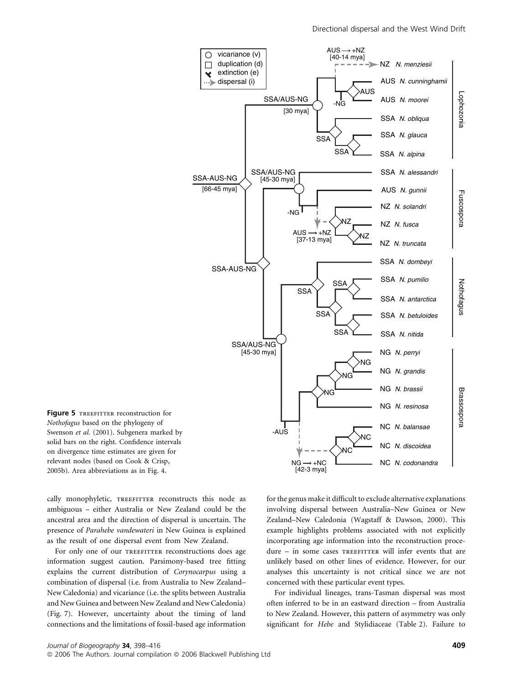

Figure 5 TREEFITTER reconstruction for Nothofagus based on the phylogeny of Swenson et al. (2001). Subgenera marked by solid bars on the right. Confidence intervals on divergence time estimates are given for relevant nodes (based on Cook & Crisp, 2005b). Area abbreviations as in Fig. 4.

cally monophyletic, TREEFITTER reconstructs this node as ambiguous – either Australia or New Zealand could be the ancestral area and the direction of dispersal is uncertain. The presence of Parahebe vandewateri in New Guinea is explained as the result of one dispersal event from New Zealand.

For only one of our TREEFITTER reconstructions does age information suggest caution. Parsimony-based tree fitting explains the current distribution of Corynocarpus using a combination of dispersal (i.e. from Australia to New Zealand– New Caledonia) and vicariance (i.e. the splits between Australia and New Guinea and between New Zealand and New Caledonia) (Fig. 7). However, uncertainty about the timing of land connections and the limitations of fossil-based age information

for the genus make it difficult to exclude alternative explanations involving dispersal between Australia–New Guinea or New Zealand–New Caledonia (Wagstaff & Dawson, 2000). This example highlights problems associated with not explicitly incorporating age information into the reconstruction procedure – in some cases TREEFITTER will infer events that are unlikely based on other lines of evidence. However, for our analyses this uncertainty is not critical since we are not concerned with these particular event types.

For individual lineages, trans-Tasman dispersal was most often inferred to be in an eastward direction – from Australia to New Zealand. However, this pattern of asymmetry was only significant for Hebe and Stylidiaceae (Table 2). Failure to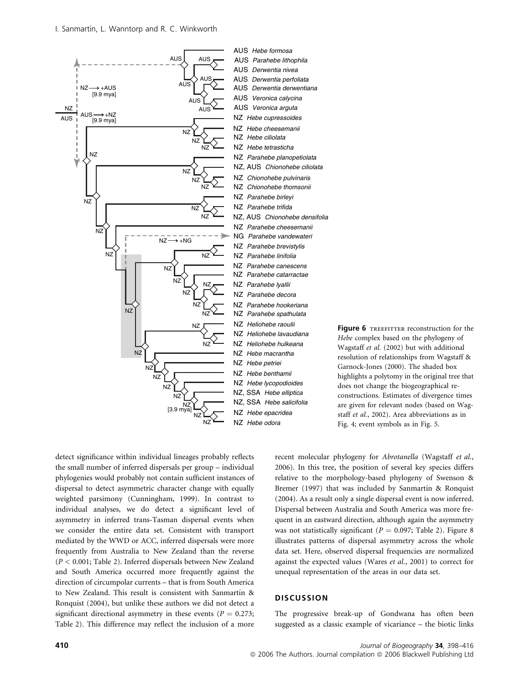

Figure 6 TREEFITTER reconstruction for the Hebe complex based on the phylogeny of Wagstaff et al. (2002) but with additional resolution of relationships from Wagstaff & Garnock-Jones (2000). The shaded box highlights a polytomy in the original tree that does not change the biogeographical reconstructions. Estimates of divergence times are given for relevant nodes (based on Wagstaff et al., 2002). Area abbreviations as in Fig. 4; event symbols as in Fig. 5.

detect significance within individual lineages probably reflects the small number of inferred dispersals per group – individual phylogenies would probably not contain sufficient instances of dispersal to detect asymmetric character change with equally weighted parsimony (Cunningham, 1999). In contrast to individual analyses, we do detect a significant level of asymmetry in inferred trans-Tasman dispersal events when we consider the entire data set. Consistent with transport mediated by the WWD or ACC, inferred dispersals were more frequently from Australia to New Zealand than the reverse (P < 0.001; Table 2). Inferred dispersals between New Zealand and South America occurred more frequently against the direction of circumpolar currents – that is from South America to New Zealand. This result is consistent with Sanmartín & Ronquist (2004), but unlike these authors we did not detect a significant directional asymmetry in these events ( $P = 0.273$ ; Table 2). This difference may reflect the inclusion of a more recent molecular phylogeny for Abrotanella (Wagstaff et al., 2006). In this tree, the position of several key species differs relative to the morphology-based phylogeny of Swenson & Bremer (1997) that was included by Sanmartín & Ronquist (2004). As a result only a single dispersal event is now inferred. Dispersal between Australia and South America was more frequent in an eastward direction, although again the asymmetry was not statistically significant ( $P = 0.097$ ; Table 2). Figure 8 illustrates patterns of dispersal asymmetry across the whole data set. Here, observed dispersal frequencies are normalized against the expected values (Wares et al., 2001) to correct for unequal representation of the areas in our data set.

## **DISCUSSION**

The progressive break-up of Gondwana has often been suggested as a classic example of vicariance – the biotic links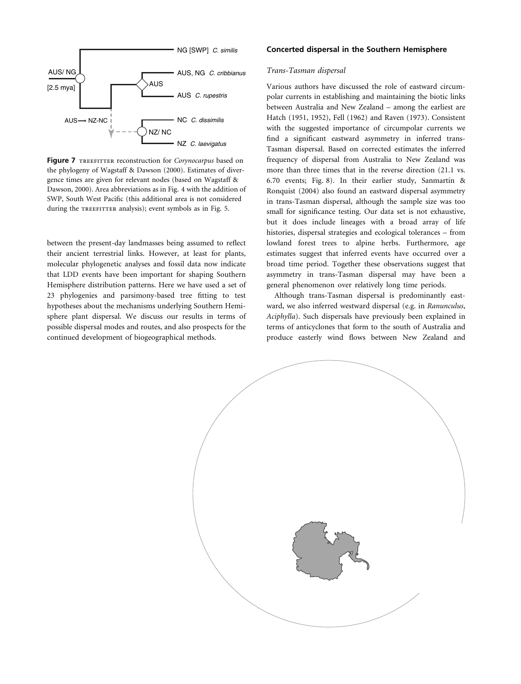

Figure 7 TREEFITTER reconstruction for Corynocarpus based on the phylogeny of Wagstaff & Dawson (2000). Estimates of divergence times are given for relevant nodes (based on Wagstaff & Dawson, 2000). Area abbreviations as in Fig. 4 with the addition of SWP, South West Pacific (this additional area is not considered during the TREEFITTER analysis); event symbols as in Fig. 5.

between the present-day landmasses being assumed to reflect their ancient terrestrial links. However, at least for plants, molecular phylogenetic analyses and fossil data now indicate that LDD events have been important for shaping Southern Hemisphere distribution patterns. Here we have used a set of 23 phylogenies and parsimony-based tree fitting to test hypotheses about the mechanisms underlying Southern Hemisphere plant dispersal. We discuss our results in terms of possible dispersal modes and routes, and also prospects for the continued development of biogeographical methods.

## Concerted dispersal in the Southern Hemisphere

## Trans-Tasman dispersal

Various authors have discussed the role of eastward circumpolar currents in establishing and maintaining the biotic links between Australia and New Zealand – among the earliest are Hatch (1951, 1952), Fell (1962) and Raven (1973). Consistent with the suggested importance of circumpolar currents we find a significant eastward asymmetry in inferred trans-Tasman dispersal. Based on corrected estimates the inferred frequency of dispersal from Australia to New Zealand was more than three times that in the reverse direction (21.1 vs. 6.70 events; Fig. 8). In their earlier study, Sanmartín & Ronquist (2004) also found an eastward dispersal asymmetry in trans-Tasman dispersal, although the sample size was too small for significance testing. Our data set is not exhaustive, but it does include lineages with a broad array of life histories, dispersal strategies and ecological tolerances – from lowland forest trees to alpine herbs. Furthermore, age estimates suggest that inferred events have occurred over a broad time period. Together these observations suggest that asymmetry in trans-Tasman dispersal may have been a general phenomenon over relatively long time periods.

Although trans-Tasman dispersal is predominantly eastward, we also inferred westward dispersal (e.g. in Ranunculus, Aciphylla). Such dispersals have previously been explained in terms of anticyclones that form to the south of Australia and produce easterly wind flows between New Zealand and

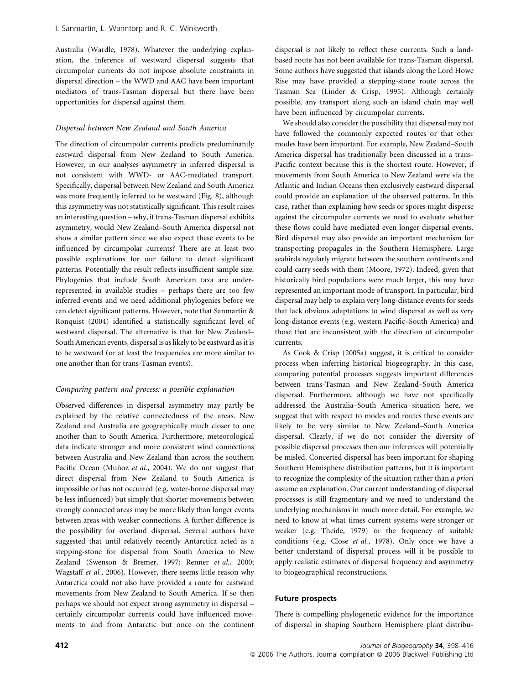Australia (Wardle, 1978). Whatever the underlying explanation, the inference of westward dispersal suggests that circumpolar currents do not impose absolute constraints in dispersal direction – the WWD and AAC have been important mediators of trans-Tasman dispersal but there have been opportunities for dispersal against them.

## Dispersal between New Zealand and South America

The direction of circumpolar currents predicts predominantly eastward dispersal from New Zealand to South America. However, in our analyses asymmetry in inferred dispersal is not consistent with WWD- or AAC-mediated transport. Specifically, dispersal between New Zealand and South America was more frequently inferred to be westward (Fig. 8), although this asymmetry was not statistically significant. This result raises an interesting question – why, if trans-Tasman dispersal exhibits asymmetry, would New Zealand–South America dispersal not show a similar pattern since we also expect these events to be influenced by circumpolar currents? There are at least two possible explanations for our failure to detect significant patterns. Potentially the result reflects insufficient sample size. Phylogenies that include South American taxa are underrepresented in available studies – perhaps there are too few inferred events and we need additional phylogenies before we can detect significant patterns. However, note that Sanmartín & Ronquist (2004) identified a statistically significant level of westward dispersal. The alternative is that for New Zealand– South American events, dispersal is as likely to be eastward as it is to be westward (or at least the frequencies are more similar to one another than for trans-Tasman events).

#### Comparing pattern and process: a possible explanation

Observed differences in dispersal asymmetry may partly be explained by the relative connectedness of the areas. New Zealand and Australia are geographically much closer to one another than to South America. Furthermore, meteorological data indicate stronger and more consistent wind connections between Australia and New Zealand than across the southern Pacific Ocean (Muñoz et al., 2004). We do not suggest that direct dispersal from New Zealand to South America is impossible or has not occurred (e.g. water-borne dispersal may be less influenced) but simply that shorter movements between strongly connected areas may be more likely than longer events between areas with weaker connections. A further difference is the possibility for overland dispersal. Several authors have suggested that until relatively recently Antarctica acted as a stepping-stone for dispersal from South America to New Zealand (Swenson & Bremer, 1997; Renner et al., 2000; Wagstaff et al., 2006). However, there seems little reason why Antarctica could not also have provided a route for eastward movements from New Zealand to South America. If so then perhaps we should not expect strong asymmetry in dispersal – certainly circumpolar currents could have influenced movements to and from Antarctic but once on the continent

dispersal is not likely to reflect these currents. Such a landbased route has not been available for trans-Tasman dispersal. Some authors have suggested that islands along the Lord Howe Rise may have provided a stepping-stone route across the Tasman Sea (Linder & Crisp, 1995). Although certainly possible, any transport along such an island chain may well have been influenced by circumpolar currents.

We should also consider the possibility that dispersal may not have followed the commonly expected routes or that other modes have been important. For example, New Zealand–South America dispersal has traditionally been discussed in a trans-Pacific context because this is the shortest route. However, if movements from South America to New Zealand were via the Atlantic and Indian Oceans then exclusively eastward dispersal could provide an explanation of the observed patterns. In this case, rather than explaining how seeds or spores might disperse against the circumpolar currents we need to evaluate whether these flows could have mediated even longer dispersal events. Bird dispersal may also provide an important mechanism for transporting propagules in the Southern Hemisphere. Large seabirds regularly migrate between the southern continents and could carry seeds with them (Moore, 1972). Indeed, given that historically bird populations were much larger, this may have represented an important mode of transport. In particular, bird dispersal may help to explain very long-distance events for seeds that lack obvious adaptations to wind dispersal as well as very long-distance events (e.g. western Pacific–South America) and those that are inconsistent with the direction of circumpolar currents.

As Cook & Crisp (2005a) suggest, it is critical to consider process when inferring historical biogeography. In this case, comparing potential processes suggests important differences between trans-Tasman and New Zealand–South America dispersal. Furthermore, although we have not specifically addressed the Australia–South America situation here, we suggest that with respect to modes and routes these events are likely to be very similar to New Zealand–South America dispersal. Clearly, if we do not consider the diversity of possible dispersal processes then our inferences will potentially be misled. Concerted dispersal has been important for shaping Southern Hemisphere distribution patterns, but it is important to recognize the complexity of the situation rather than a priori assume an explanation. Our current understanding of dispersal processes is still fragmentary and we need to understand the underlying mechanisms in much more detail. For example, we need to know at what times current systems were stronger or weaker (e.g. Theide, 1979) or the frequency of suitable conditions (e.g. Close et al., 1978). Only once we have a better understand of dispersal process will it be possible to apply realistic estimates of dispersal frequency and asymmetry to biogeographical reconstructions.

#### Future prospects

There is compelling phylogenetic evidence for the importance of dispersal in shaping Southern Hemisphere plant distribu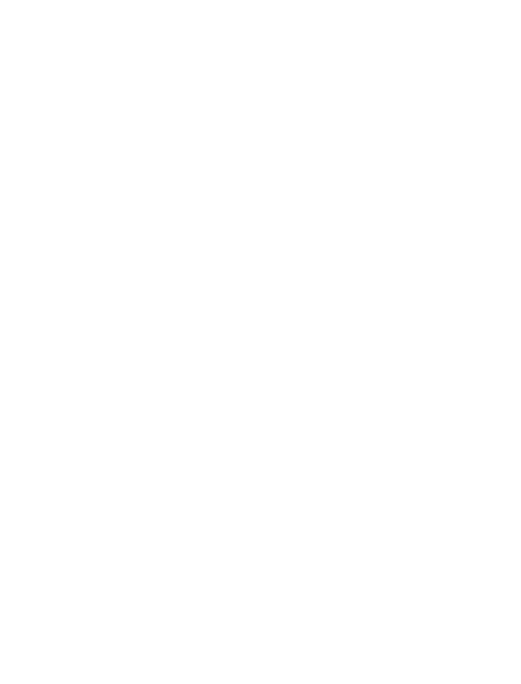tion patterns. Indeed, we have sufÞcient data to begin testing more detailed hypotheses on dispersal processes. Our analyses Garden, Kew.

provide insights, but it is clear that a larger, more complete data set is still needed. Thorne (1972) lists at least 50 plant lineages that occur in Australia, New Zealand and South America, with many others shared by two of these areas. In Baum, D.A., Small, R.L. & Wendel, J.F. (1998) Biogeography order to understand Southern Hemisphere plant dispersal more fully, we will need to include many more of these lineages in future analyses. Expanding the data set may also allow us to explore the patterns associated with the smaller Bradford, J.C. (2002) Molecular phylogenetics and morpholandmasses (e.g. New Caledonia, sub-Antarctic island groups). Currently limited sampling prevents such analyses but testing the relationships of these areas will be important for understanding the details of Southern Hemisphere plant biogeography.

Of greater general importance for biogeography will be the ongoing development of analytical tools. Current approaches Breitwieser, I., Glenny, D.S., Thorne, A. & Wagstaff, S.J. (1999) are useful, but in order to address detailed hypotheses we need to extend present methods and add new approaches. One important avenue will be incorporating truly mixed dispersalÐvicariance models (de Queiroz, 2005). Currently available methods Bremer, K. (2002) Gondwanan evolution of the grass alliance either favour vicariance and duplication as explanations (e.g. diva , parsimony-based tree Þtting) or completely ignore vicariance (e.g. Nepokroett al, 2003). However, it is clear that neither of these approaches is suitable in all situations and we need methods that incorporate both processes more realis-Buckley, T.R., Arensburger, P., Simon, C. & Chambers, G.K. tically. New methods will need to go beyond trees and extant geographical ranges to consider a wider range of data. Indeed, it is widely recognized that integrating additional data sources is critical for further improving biogeographical inference (e.g. Donoghue & Moore, 2003). Recent attention has focused on divergence time estimates. Currently these are **a sect** teriori and while this approach is useful it would be preferable to have methods that explicitly incorporate time. For example, treefitter could be modiÞed so that vicariance would only be inferred if branching in the TAC and GAC was congruent in pattern and timing (F. Ronquist, personal communication). It will also be important to incorporate other information **Đ** for example, ancestral geographical ranges based on fossil taxa oCook, L.G. & Crisp, M.D. (2005a) Directional asymmetry of estimates of dispersal frequency and direction. The next decade will be an exciting time for historical biogeography as our data sets and analytical methods improve.

# ACKNOWLEDGEMENTS

We thank Robert McDowall, Richard Ree, Fredrik Ronquist and two anonymous referees for their comments on earlier versions of the manuscript. I.S. is supported by the Swedish Science Research Council (GRANT 621-2003-456). R.C.W. is supported by the Fundan de Amparo aPesquisa do Estado de Sa Paulo (Grant 04/09666-2)

## REFERENCES

Axelrod, D.I. (1992) Climatic pulses, a major factor in legume evolution. Advances in legume systematics, Rad. 4 by P.S.

Herendeen and D.L. Dilcher), pp. 259Ð279. Royal Botanical

Barnes, R.W. & Jordan, G.J. (200E) cryphia (Cunoniaceae) reproductive and leaf macrofossils from Australian Cainozoic sedimentsAustralian Systematic Botan<sup>1</sup>8, 373Đ394.

and ßoral evolution of baobab Adansonia Bombaceae) as inferred from multiple data set Systematic Biology7, 181Đ 207.

logical evolution in Cunonieae (CunoniaceaAnnals of the Missouri Botanical Garden, 491Đ503.

Bradford, J.C. & Barnes, R.W. (2001) Phylogenetics and classiÞcation of Cunoniaceae (Oxalidales) using chloroplast DNA sequences and morpholog&ystematic Botan\26, 354Ð385.

Phylogenetic relationships in Australasian Gnaphalieae (Compositae) inferred from ITS sequencetew Zealand Journal of Botan<sub>87</sub>, 399D412.

of families (Poales)Evolution 56, 1374Ð1387.

- Bremer, K., Friis, E.M. & Bremer, B. (2004) Molecular phylogenetic dating of asterids ßowering plants shows early Cretaceous diversiÞcatioßystematic Biology 3, 496Ð505.
- (2002) Combined data, Bayesian phylogenetics, and the origin of the New Zealand cicada general stematic Biology 51, 4Ð18.
- Chacon, J., Madriman, S., Chase, M.W. & Bruhl, J.J. (2006) Molecular phylogenetics @reobolu (Cyperaceae) and the origin and diversibcation of the American species xon 55, 359Ð366.
- Close, R.C., Moar, N.T., Tomlinson, A.I. & Lowe, A.D. (1978) Aerial dispersal of biological material from Australia to New Zealand.International Journal of Biometeorology, 1Đ19.
- Coode, M.J.E. (1985)Aristoteliaand Vallea closely related in Elaeocarpaceakew Bulletin 40, 479Đ507.

long-distance dispersal and colonization could mislead reconstructions of biogeographylournal of Biogeography 32, 741Ð754.

Cook, L.G. & Crisp, M.D. (2005b) Not so ancient: the extant crown group of Nothofagusrepresents a post-Gondwanan radiation.Proceedings of the Royal Society of London Series B, Biological Sciences 2, 2535Ð2544.